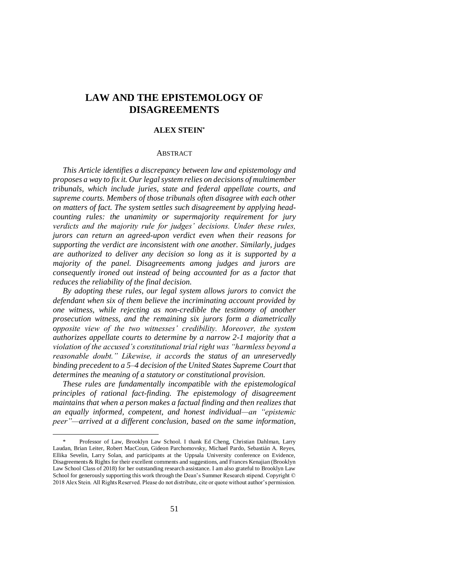# **LAW AND THE EPISTEMOLOGY OF DISAGREEMENTS**

## **ALEX STEIN\***

#### **ABSTRACT**

*This Article identifies a discrepancy between law and epistemology and proposes a way to fix it. Our legal system relies on decisions of multimember tribunals, which include juries, state and federal appellate courts, and supreme courts. Members of those tribunals often disagree with each other on matters of fact. The system settles such disagreement by applying headcounting rules: the unanimity or supermajority requirement for jury verdicts and the majority rule for judges' decisions. Under these rules, jurors can return an agreed-upon verdict even when their reasons for supporting the verdict are inconsistent with one another. Similarly, judges are authorized to deliver any decision so long as it is supported by a majority of the panel. Disagreements among judges and jurors are consequently ironed out instead of being accounted for as a factor that reduces the reliability of the final decision.* 

*By adopting these rules, our legal system allows jurors to convict the defendant when six of them believe the incriminating account provided by one witness, while rejecting as non-credible the testimony of another prosecution witness, and the remaining six jurors form a diametrically opposite view of the two witnesses' credibility. Moreover, the system authorizes appellate courts to determine by a narrow 2-1 majority that a violation of the accused's constitutional trial right was "harmless beyond a reasonable doubt." Likewise, it accords the status of an unreservedly binding precedent to a 5–4 decision of the United States Supreme Court that determines the meaning of a statutory or constitutional provision.*

*These rules are fundamentally incompatible with the epistemological principles of rational fact-finding. The epistemology of disagreement maintains that when a person makes a factual finding and then realizes that an equally informed, competent, and honest individual—an "epistemic peer"—arrived at a different conclusion, based on the same information,* 

<sup>\*</sup> Professor of Law, Brooklyn Law School. I thank Ed Cheng, Christian Dahlman, Larry Laudan, Brian Leiter, Robert MacCoun, Gideon Parchomovsky, Michael Pardo, Sebastián A. Reyes, Ellika Sevelin, Larry Solan, and participants at the Uppsala University conference on Evidence, Disagreements & Rights for their excellent comments and suggestions, and Frances Kenajian (Brooklyn Law School Class of 2018) for her outstanding research assistance. I am also grateful to Brooklyn Law School for generously supporting this work through the Dean's Summer Research stipend. Copyright © 2018 Alex Stein. All Rights Reserved. Please do not distribute, cite or quote without author's permission.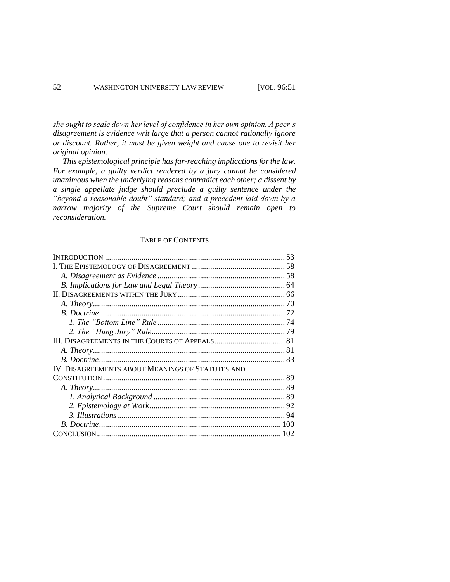*she ought to scale down her level of confidence in her own opinion. A peer's disagreement is evidence writ large that a person cannot rationally ignore or discount. Rather, it must be given weight and cause one to revisit her original opinion.* 

*This epistemological principle has far-reaching implications for the law. For example, a guilty verdict rendered by a jury cannot be considered unanimous when the underlying reasons contradict each other; a dissent by a single appellate judge should preclude a guilty sentence under the "beyond a reasonable doubt" standard; and a precedent laid down by a narrow majority of the Supreme Court should remain open to reconsideration.* 

## TABLE OF CONTENTS

|                                                  | 53 |
|--------------------------------------------------|----|
|                                                  |    |
|                                                  |    |
|                                                  |    |
|                                                  |    |
|                                                  |    |
|                                                  |    |
|                                                  |    |
|                                                  |    |
|                                                  |    |
|                                                  |    |
|                                                  |    |
| IV. DISAGREEMENTS ABOUT MEANINGS OF STATUTES AND |    |
|                                                  |    |
|                                                  |    |
|                                                  |    |
|                                                  |    |
|                                                  |    |
|                                                  |    |
|                                                  |    |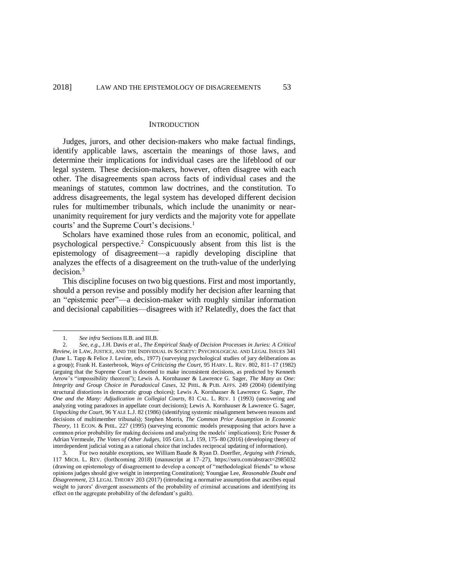#### **INTRODUCTION**

Judges, jurors, and other decision-makers who make factual findings, identify applicable laws, ascertain the meanings of those laws, and determine their implications for individual cases are the lifeblood of our legal system. These decision-makers, however, often disagree with each other. The disagreements span across facts of individual cases and the meanings of statutes, common law doctrines, and the constitution. To address disagreements, the legal system has developed different decision rules for multimember tribunals, which include the unanimity or nearunanimity requirement for jury verdicts and the majority vote for appellate courts' and the Supreme Court's decisions.<sup>1</sup>

Scholars have examined those rules from an economic, political, and psychological perspective.<sup>2</sup> Conspicuously absent from this list is the epistemology of disagreement—a rapidly developing discipline that analyzes the effects of a disagreement on the truth-value of the underlying decision.<sup>3</sup>

This discipline focuses on two big questions. First and most importantly, should a person revise and possibly modify her decision after learning that an "epistemic peer"—a decision-maker with roughly similar information and decisional capabilities—disagrees with it? Relatedly, does the fact that

<sup>1.</sup> *See infra* Sections II.B. and III.B.

<sup>2.</sup> *See, e.g.*, J.H. Davis *et al*., *The Empirical Study of Decision Processes in Juries: A Critical Review*, *in* LAW, JUSTICE, AND THE INDIVIDUAL IN SOCIETY: PSYCHOLOGICAL AND LEGAL ISSUES 341 (June L. Tapp & Felice J. Levine, eds., 1977) (surveying psychological studies of jury deliberations as a group); Frank H. Easterbrook, *Ways of Criticizing the Court*, 95 HARV. L. REV. 802, 811–17 (1982) (arguing that the Supreme Court is doomed to make inconsistent decisions, as predicted by Kenneth Arrow's "impossibility theorem"); Lewis A. Kornhauser & Lawrence G. Sager, *The Many as One: Integrity and Group Choice in Paradoxical Cases*, 32 PHIL. & PUB. AFFS. 249 (2004) (identifying structural distortions in democratic group choices); Lewis A. Kornhauser & Lawrence G. Sager, *The One and the Many: Adjudication in Collegial Courts*, 81 CAL. L. REV. 1 (1993) (uncovering and analyzing voting paradoxes in appellate court decisions); Lewis A. Kornhauser & Lawrence G. Sager, *Unpacking the Court*, 96 YALE L.J. 82 (1986) (identifying systemic misalignment between reasons and decisions of multimember tribunals); Stephen Morris, *The Common Prior Assumption in Economic Theory*, 11 ECON. & PHIL. 227 (1995) (surveying economic models presupposing that actors have a common prior probability for making decisions and analyzing the models' implications); Eric Posner & Adrian Vermeule, *The Votes of Other Judges*, 105 GEO. L.J. 159, 175–80 (2016) (developing theory of interdependent judicial voting as a rational choice that includes reciprocal updating of information).

<sup>3.</sup> For two notable exceptions, see William Baude & Ryan D. Doerfler, *Arguing with Friends*, 117 MICH. L. REV. (forthcoming 2018) (manuscript at 17–27), https://ssrn.com/abstract=2985032 (drawing on epistemology of disagreement to develop a concept of "methodological friends" to whose opinions judges should give weight in interpreting Constitution); Youngjae Lee, *Reasonable Doubt and Disagreement*, 23 LEGAL THEORY 203 (2017) (introducing a normative assumption that ascribes equal weight to jurors' divergent assessments of the probability of criminal accusations and identifying its effect on the aggregate probability of the defendant's guilt).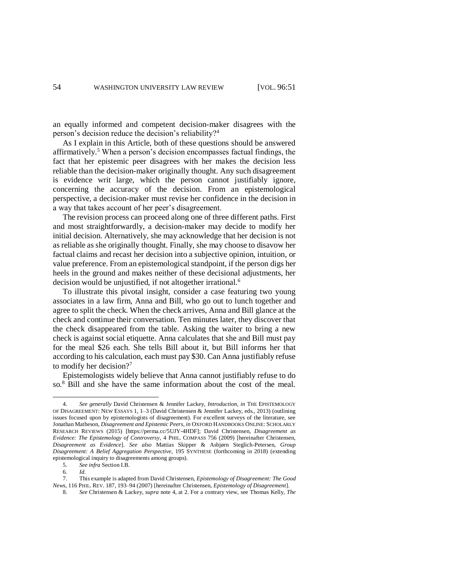<span id="page-3-0"></span>an equally informed and competent decision-maker disagrees with the person's decision reduce the decision's reliability?<sup>4</sup>

As I explain in this Article, both of these questions should be answered affirmatively. <sup>5</sup> When a person's decision encompasses factual findings, the fact that her epistemic peer disagrees with her makes the decision less reliable than the decision-maker originally thought. Any such disagreement is evidence writ large, which the person cannot justifiably ignore, concerning the accuracy of the decision. From an epistemological perspective, a decision-maker must revise her confidence in the decision in a way that takes account of her peer's disagreement.

The revision process can proceed along one of three different paths. First and most straightforwardly, a decision-maker may decide to modify her initial decision. Alternatively, she may acknowledge that her decision is not as reliable as she originally thought. Finally, she may choose to disavow her factual claims and recast her decision into a subjective opinion, intuition, or value preference. From an epistemological standpoint, if the person digs her heels in the ground and makes neither of these decisional adjustments, her decision would be unjustified, if not altogether irrational.<sup>6</sup>

To illustrate this pivotal insight, consider a case featuring two young associates in a law firm, Anna and Bill, who go out to lunch together and agree to split the check. When the check arrives, Anna and Bill glance at the check and continue their conversation. Ten minutes later, they discover that the check disappeared from the table. Asking the waiter to bring a new check is against social etiquette. Anna calculates that she and Bill must pay for the meal \$26 each. She tells Bill about it, but Bill informs her that according to his calculation, each must pay \$30. Can Anna justifiably refuse to modify her decision?<sup>7</sup>

<span id="page-3-2"></span><span id="page-3-1"></span>Epistemologists widely believe that Anna cannot justifiably refuse to do so.<sup>8</sup> Bill and she have the same information about the cost of the meal.

<sup>4.</sup> *See generally* David Christensen & Jennifer Lackey, *Introduction*, *in* THE EPISTEMOLOGY OF DISAGREEMENT: NEW ESSAYS 1, 1–3 (David Christensen & Jennifer Lackey, eds., 2013) (outlining issues focused upon by epistemologists of disagreement). For excellent surveys of the literature, see Jonathan Matheson, *Disagreement and Epistemic Peers*, *in* OXFORD HANDBOOKS ONLINE: SCHOLARLY RESEARCH REVIEWS (2015) [https://perma.cc/5UJY-4HDF]; David Christensen, *Disagreement as Evidence: The Epistemology of Controversy*, 4 PHIL. COMPASS 756 (2009) [hereinafter Christensen, *Disagreement as Evidence*]. *See also* Mattias Skipper & Asbjørn Steglich-Petersen, *Group Disagreement: A Belief Aggregation Perspective*, 195 SYNTHESE (forthcoming in 2018) (extending epistemological inquiry to disagreements among groups).

<sup>5.</sup> *See infra* Section I.B.

<sup>6.</sup> *Id.*

<sup>7.</sup> This example is adapted from David Christensen, *Epistemology of Disagreement: The Good News*, 116 PHIL. REV. 187, 193–94 (2007) [hereinafter Christensen, *Epistemology of Disagreement*].

<sup>8.</sup> *See* Christensen & Lackey, *supra* not[e 4,](#page-3-0) at 2. For a contrary view, see Thomas Kelly, *The*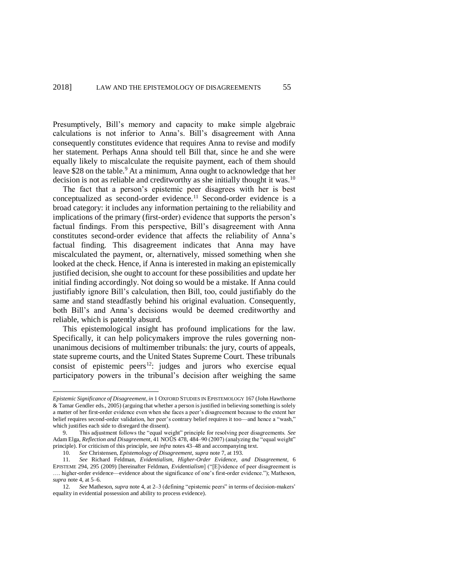Presumptively, Bill's memory and capacity to make simple algebraic calculations is not inferior to Anna's. Bill's disagreement with Anna consequently constitutes evidence that requires Anna to revise and modify her statement. Perhaps Anna should tell Bill that, since he and she were equally likely to miscalculate the requisite payment, each of them should leave \$28 on the table.<sup>9</sup> At a minimum, Anna ought to acknowledge that her decision is not as reliable and creditworthy as she initially thought it was.<sup>10</sup>

<span id="page-4-1"></span><span id="page-4-0"></span>The fact that a person's epistemic peer disagrees with her is best conceptualized as second-order evidence.<sup>11</sup> Second-order evidence is a broad category: it includes any information pertaining to the reliability and implications of the primary (first-order) evidence that supports the person's factual findings. From this perspective, Bill's disagreement with Anna constitutes second-order evidence that affects the reliability of Anna's factual finding. This disagreement indicates that Anna may have miscalculated the payment, or, alternatively, missed something when she looked at the check. Hence, if Anna is interested in making an epistemically justified decision, she ought to account for these possibilities and update her initial finding accordingly. Not doing so would be a mistake. If Anna could justifiably ignore Bill's calculation, then Bill, too, could justifiably do the same and stand steadfastly behind his original evaluation. Consequently, both Bill's and Anna's decisions would be deemed creditworthy and reliable, which is patently absurd.

This epistemological insight has profound implications for the law. Specifically, it can help policymakers improve the rules governing nonunanimous decisions of multimember tribunals: the jury, courts of appeals, state supreme courts, and the United States Supreme Court. These tribunals consist of epistemic peers<sup>12</sup>: judges and jurors who exercise equal participatory powers in the tribunal's decision after weighing the same

*Epistemic Significance of Disagreement*, *in* 1 OXFORD STUDIES IN EPISTEMOLOGY 167 (John Hawthorne & Tamar Gendler eds., 2005) (arguing that whether a person is justified in believing something is solely a matter of her first-order evidence even when she faces a peer's disagreement because to the extent her belief requires second-order validation, her peer's contrary belief requires it too—and hence a "wash," which justifies each side to disregard the dissent).

<sup>9.</sup> This adjustment follows the "equal weight" principle for resolving peer disagreements. *See* Adam Elga, *Reflection and Disagreement*, 41 NOÛS 478, 484–90 (2007) (analyzing the "equal weight" principle). For criticism of this principle, see *infra* note[s 43–](#page-11-0)[48](#page-12-0) and accompanying text.

<sup>10.</sup> *See* Christensen, *Epistemology of Disagreement*, *supra* not[e 7,](#page-3-1) at 193.

<sup>11.</sup> *See* Richard Feldman, *Evidentialism, Higher-Order Evidence, and Disagreement*, 6 EPISTEME 294, 295 (2009) [hereinafter Feldman, *Evidentialism*] ("[E]vidence of peer disagreement is …. higher-order evidence—evidence about the significance of one's first-order evidence."); Matheson, *supra* note [4,](#page-3-0) at 5–6.

<sup>12.</sup> *See* Matheson, *supra* not[e 4,](#page-3-0) at 2–3 (defining "epistemic peers" in terms of decision-makers' equality in evidential possession and ability to process evidence).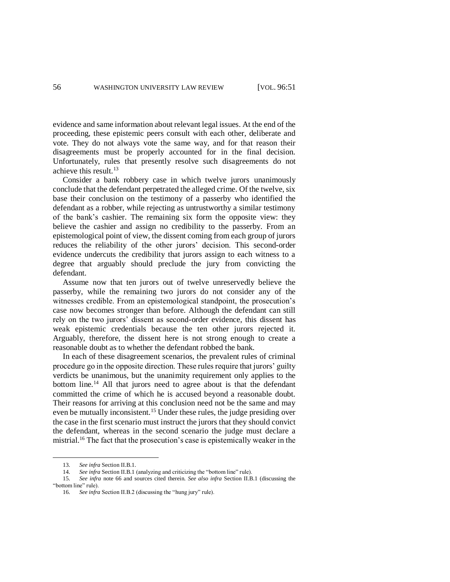evidence and same information about relevant legal issues. At the end of the proceeding, these epistemic peers consult with each other, deliberate and vote. They do not always vote the same way, and for that reason their disagreements must be properly accounted for in the final decision. Unfortunately, rules that presently resolve such disagreements do not achieve this result.<sup>13</sup>

Consider a bank robbery case in which twelve jurors unanimously conclude that the defendant perpetrated the alleged crime. Of the twelve, six base their conclusion on the testimony of a passerby who identified the defendant as a robber, while rejecting as untrustworthy a similar testimony of the bank's cashier. The remaining six form the opposite view: they believe the cashier and assign no credibility to the passerby. From an epistemological point of view, the dissent coming from each group of jurors reduces the reliability of the other jurors' decision. This second-order evidence undercuts the credibility that jurors assign to each witness to a degree that arguably should preclude the jury from convicting the defendant.

Assume now that ten jurors out of twelve unreservedly believe the passerby, while the remaining two jurors do not consider any of the witnesses credible. From an epistemological standpoint, the prosecution's case now becomes stronger than before. Although the defendant can still rely on the two jurors' dissent as second-order evidence, this dissent has weak epistemic credentials because the ten other jurors rejected it. Arguably, therefore, the dissent here is not strong enough to create a reasonable doubt as to whether the defendant robbed the bank.

In each of these disagreement scenarios, the prevalent rules of criminal procedure go in the opposite direction. These rules require that jurors' guilty verdicts be unanimous, but the unanimity requirement only applies to the bottom line.<sup>14</sup> All that jurors need to agree about is that the defendant committed the crime of which he is accused beyond a reasonable doubt. Their reasons for arriving at this conclusion need not be the same and may even be mutually inconsistent.<sup>15</sup> Under these rules, the judge presiding over the case in the first scenario must instruct the jurors that they should convict the defendant, whereas in the second scenario the judge must declare a mistrial.<sup>16</sup> The fact that the prosecution's case is epistemically weaker in the

<sup>13.</sup> *See infra* Section II.B.1.

<sup>14.</sup> *See infra* Section II.B.1 (analyzing and criticizing the "bottom line" rule).

<sup>15.</sup> *See infra* note [66](#page-17-0) and sources cited therein. *See also infra* Section II.B.1 (discussing the "bottom line" rule).

<sup>16.</sup> *See infra* Section II.B.2 (discussing the "hung jury" rule).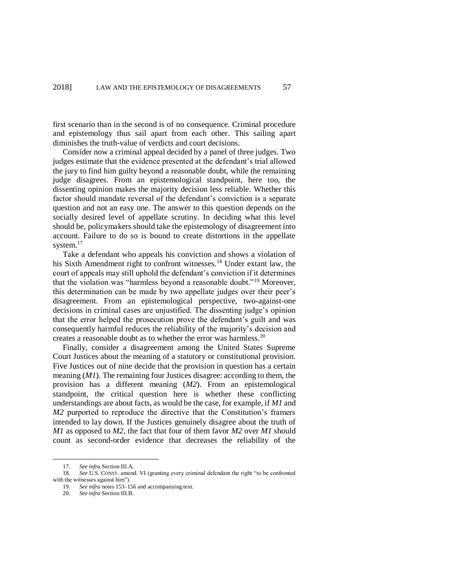first scenario than in the second is of no consequence. Criminal procedure and epistemology thus sail apart from each other. This sailing apart diminishes the truth-value of verdicts and court decisions.

Consider now a criminal appeal decided by a panel of three judges. Two judges estimate that the evidence presented at the defendant's trial allowed the jury to find him guilty beyond a reasonable doubt, while the remaining judge disagrees. From an epistemological standpoint, here too, the dissenting opinion makes the majority decision less reliable. Whether this factor should mandate reversal of the defendant's conviction is a separate question and not an easy one. The answer to this question depends on the socially desired level of appellate scrutiny. In deciding what this level should be, policymakers should take the epistemology of disagreement into account. Failure to do so is bound to create distortions in the appellate system.<sup>17</sup>

Take a defendant who appeals his conviction and shows a violation of his Sixth Amendment right to confront witnesses.<sup>18</sup> Under extant law, the court of appeals may still uphold the defendant's conviction if it determines that the violation was "harmless beyond a reasonable doubt."<sup>19</sup> Moreover, this determination can be made by two appellate judges over their peer's disagreement. From an epistemological perspective, two-against-one decisions in criminal cases are unjustified. The dissenting judge's opinion that the error helped the prosecution prove the defendant's guilt and was consequently harmful reduces the reliability of the majority's decision and creates a reasonable doubt as to whether the error was harmless.<sup>20</sup>

Finally, consider a disagreement among the United States Supreme Court Justices about the meaning of a statutory or constitutional provision. Five Justices out of nine decide that the provision in question has a certain meaning (*M1*). The remaining four Justices disagree: according to them, the provision has a different meaning (*M2*). From an epistemological standpoint, the critical question here is whether these conflicting understandings are about facts, as would be the case, for example, if *M1* and *M2* purported to reproduce the directive that the Constitution's framers intended to lay down. If the Justices genuinely disagree about the truth of *M1* as opposed to *M2*, the fact that four of them favor *M2* over *M1* should count as second-order evidence that decreases the reliability of the

<sup>17.</sup> *See infra* Section III.A.

<sup>18.</sup> *See* U.S. CONST. amend. VI (granting every criminal defendant the right "to be confronted with the witnesses against him").

<sup>19.</sup> *See infra* note[s 153–](#page-32-0)[156](#page-33-0) and accompanying text.

<sup>20.</sup> *See infra* Section III.B.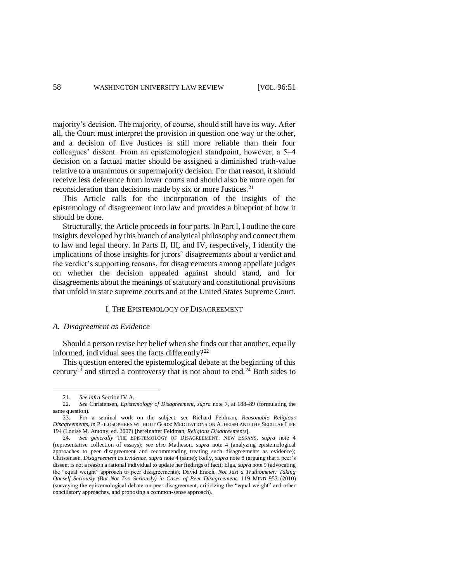majority's decision. The majority, of course, should still have its way. After all, the Court must interpret the provision in question one way or the other, and a decision of five Justices is still more reliable than their four colleagues' dissent. From an epistemological standpoint, however, a 5–4 decision on a factual matter should be assigned a diminished truth-value relative to a unanimous or supermajority decision. For that reason, it should receive less deference from lower courts and should also be more open for reconsideration than decisions made by six or more Justices.<sup>21</sup>

This Article calls for the incorporation of the insights of the epistemology of disagreement into law and provides a blueprint of how it should be done.

Structurally, the Article proceeds in four parts. In Part I, I outline the core insights developed by this branch of analytical philosophy and connect them to law and legal theory. In Parts II, III, and IV, respectively, I identify the implications of those insights for jurors' disagreements about a verdict and the verdict's supporting reasons, for disagreements among appellate judges on whether the decision appealed against should stand, and for disagreements about the meanings of statutory and constitutional provisions that unfold in state supreme courts and at the United States Supreme Court.

## <span id="page-7-1"></span>I. THE EPISTEMOLOGY OF DISAGREEMENT

### *A. Disagreement as Evidence*

Should a person revise her belief when she finds out that another, equally informed, individual sees the facts differently? $22$ 

<span id="page-7-0"></span>This question entered the epistemological debate at the beginning of this century<sup>23</sup> and stirred a controversy that is not about to end.<sup>24</sup> Both sides to

<sup>21.</sup> *See infra* Section IV.A.

<sup>22.</sup> *See* Christensen, *Epistemology of Disagreement*, *supra* note [7,](#page-3-1) at 188–89 (formulating the same question).

<sup>23.</sup> For a seminal work on the subject, see Richard Feldman, *Reasonable Religious Disagreements*, *in* PHILOSOPHERS WITHOUT GODS: MEDITATIONS ON ATHEISM AND THE SECULAR LIFE 194 (Louise M. Antony, ed. 2007) [hereinafter Feldman, *Religious Disagreements*].

<sup>24.</sup> *See generally* THE EPISTEMOLOGY OF DISAGREEMENT: NEW ESSAYS, *supra* note [4](#page-3-0) (representative collection of essays); *see also* Matheson, *supra* note [4](#page-3-0) (analyzing epistemological approaches to peer disagreement and recommending treating such disagreements as evidence); Christensen, *Disagreement as Evidence*, *supra* note [4](#page-3-0) (same); Kelly, *supra* not[e 8](#page-3-2) (arguing that a peer's dissent is not a reason a rational individual to update her findings of fact); Elga, *supra* not[e 9](#page-4-0) (advocating the "equal weight" approach to peer disagreements); David Enoch, *Not Just a Truthometer: Taking Oneself Seriously (But Not Too Seriously) in Cases of Peer Disagreement*, 119 MIND 953 (2010) (surveying the epistemological debate on peer disagreement, criticizing the "equal weight" and other conciliatory approaches, and proposing a common-sense approach).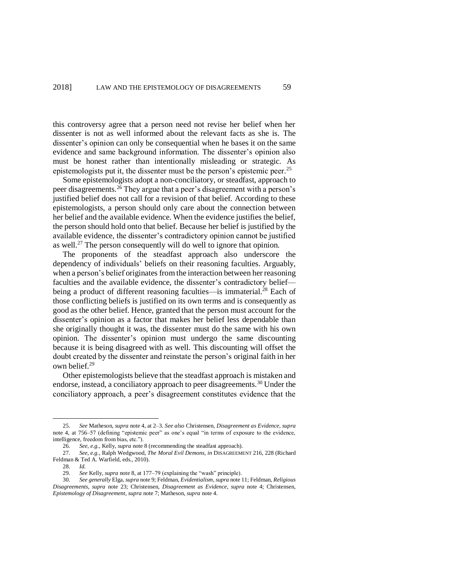this controversy agree that a person need not revise her belief when her dissenter is not as well informed about the relevant facts as she is. The dissenter's opinion can only be consequential when he bases it on the same evidence and same background information. The dissenter's opinion also must be honest rather than intentionally misleading or strategic. As epistemologists put it, the dissenter must be the person's epistemic peer.<sup>25</sup>

Some epistemologists adopt a non-conciliatory, or steadfast, approach to peer disagreements.<sup>26</sup> They argue that a peer's disagreement with a person's justified belief does not call for a revision of that belief. According to these epistemologists, a person should only care about the connection between her belief and the available evidence. When the evidence justifies the belief, the person should hold onto that belief. Because her belief is justified by the available evidence, the dissenter's contradictory opinion cannot be justified as well.<sup>27</sup> The person consequently will do well to ignore that opinion.

The proponents of the steadfast approach also underscore the dependency of individuals' beliefs on their reasoning faculties. Arguably, when a person's belief originates from the interaction between her reasoning faculties and the available evidence, the dissenter's contradictory belief being a product of different reasoning faculties—is immaterial.<sup>28</sup> Each of those conflicting beliefs is justified on its own terms and is consequently as good as the other belief. Hence, granted that the person must account for the dissenter's opinion as a factor that makes her belief less dependable than she originally thought it was, the dissenter must do the same with his own opinion. The dissenter's opinion must undergo the same discounting because it is being disagreed with as well. This discounting will offset the doubt created by the dissenter and reinstate the person's original faith in her own belief.<sup>29</sup>

<span id="page-8-0"></span>Other epistemologists believe that the steadfast approach is mistaken and endorse, instead, a conciliatory approach to peer disagreements.<sup>30</sup> Under the conciliatory approach, a peer's disagreement constitutes evidence that the

<sup>25.</sup> *See* Matheson, *supra* not[e 4,](#page-3-0) at 2–3. *See also* Christensen, *Disagreement as Evidence*, *supra* note [4,](#page-3-0) at 756–57 (defining "epistemic peer" as one's equal "in terms of exposure to the evidence, intelligence, freedom from bias, etc.").

<sup>26.</sup> *See, e.g.*, Kelly, *supra* not[e 8](#page-3-2) (recommending the steadfast approach).

<sup>27.</sup> *See, e.g.*, Ralph Wedgwood, *The Moral Evil Demons*, *in* DISAGREEMENT 216, 228 (Richard Feldman & Ted A. Warfield, eds., 2010).

<sup>28.</sup> *Id.*

<sup>29.</sup> *See* Kelly, *supra* note [8,](#page-3-2) at 177–79 (explaining the "wash" principle).<br>30. *See generally* Elga, *supra* note 9: Feldman, *Evidentialism, supra* note

<sup>30.</sup> *See generally* Elga, *supra* not[e 9;](#page-4-0) Feldman, *Evidentialism*, *supra* not[e 11;](#page-4-1) Feldman, *Religious Disagreements*, *supra* note [23;](#page-7-0) Christensen, *Disagreement as Evidence*, *supra* note [4;](#page-3-0) Christensen, *Epistemology of Disagreement*, *supra* not[e 7;](#page-3-1) Matheson, *supra* not[e 4.](#page-3-0)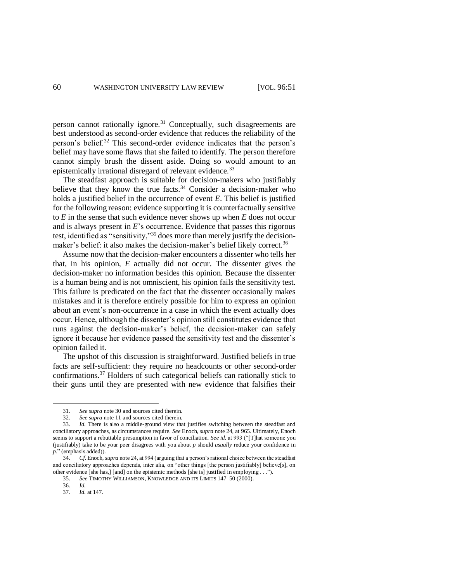<span id="page-9-0"></span>person cannot rationally ignore.<sup>31</sup> Conceptually, such disagreements are best understood as second-order evidence that reduces the reliability of the person's belief.<sup>32</sup> This second-order evidence indicates that the person's belief may have some flaws that she failed to identify. The person therefore cannot simply brush the dissent aside. Doing so would amount to an epistemically irrational disregard of relevant evidence.<sup>33</sup>

<span id="page-9-1"></span>The steadfast approach is suitable for decision-makers who justifiably believe that they know the true facts.<sup>34</sup> Consider a decision-maker who holds a justified belief in the occurrence of event *E*. This belief is justified for the following reason: evidence supporting it is counterfactually sensitive to *E* in the sense that such evidence never shows up when *E* does not occur and is always present in *E*'s occurrence. Evidence that passes this rigorous test, identified as "sensitivity,"<sup>35</sup> does more than merely justify the decisionmaker's belief: it also makes the decision-maker's belief likely correct.<sup>36</sup>

Assume now that the decision-maker encounters a dissenter who tells her that, in his opinion, *E* actually did not occur. The dissenter gives the decision-maker no information besides this opinion. Because the dissenter is a human being and is not omniscient, his opinion fails the sensitivity test. This failure is predicated on the fact that the dissenter occasionally makes mistakes and it is therefore entirely possible for him to express an opinion about an event's non-occurrence in a case in which the event actually does occur. Hence, although the dissenter's opinion still constitutes evidence that runs against the decision-maker's belief, the decision-maker can safely ignore it because her evidence passed the sensitivity test and the dissenter's opinion failed it.

The upshot of this discussion is straightforward. Justified beliefs in true facts are self-sufficient: they require no headcounts or other second-order confirmations.<sup>37</sup> Holders of such categorical beliefs can rationally stick to their guns until they are presented with new evidence that falsifies their

<sup>31.</sup> *See supra* note [30](#page-8-0) and sources cited therein.

<sup>32.</sup> *See supra* note [11](#page-4-1) and sources cited therein.

<sup>33.</sup> *Id.* There is also a middle-ground view that justifies switching between the steadfast and conciliatory approaches, as circumstances require. *See* Enoch, *supra* not[e 24,](#page-7-1) at 965. Ultimately, Enoch seems to support a rebuttable presumption in favor of conciliation. *See id.* at 993 ("[T]hat someone you (justifiably) take to be your peer disagrees with you about *p* should *usually* reduce your confidence in *p*." (emphasis added)).

<sup>34.</sup> *Cf*. Enoch, *supra* not[e 24,](#page-7-1) at 994 (arguing that a person's rational choice between the steadfast and conciliatory approaches depends, inter alia, on "other things [the person justifiably] believe[s], on other evidence [she has,] [and] on the epistemic methods [she is] justified in employing . . .").

<sup>35.</sup> *See* TIMOTHY WILLIAMSON, KNOWLEDGE AND ITS LIMITS 147–50 (2000).

<sup>36.</sup> *Id.*

<sup>37.</sup> *Id.* at 147.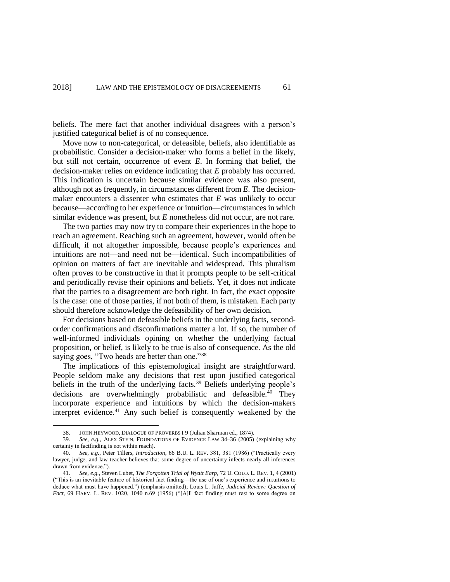beliefs. The mere fact that another individual disagrees with a person's justified categorical belief is of no consequence.

Move now to non-categorical, or defeasible, beliefs, also identifiable as probabilistic. Consider a decision-maker who forms a belief in the likely, but still not certain, occurrence of event *E*. In forming that belief, the decision-maker relies on evidence indicating that *E* probably has occurred. This indication is uncertain because similar evidence was also present, although not as frequently, in circumstances different from *E*. The decisionmaker encounters a dissenter who estimates that *E* was unlikely to occur because—according to her experience or intuition—circumstances in which similar evidence was present, but *E* nonetheless did not occur, are not rare.

The two parties may now try to compare their experiences in the hope to reach an agreement. Reaching such an agreement, however, would often be difficult, if not altogether impossible, because people's experiences and intuitions are not—and need not be—identical. Such incompatibilities of opinion on matters of fact are inevitable and widespread. This pluralism often proves to be constructive in that it prompts people to be self-critical and periodically revise their opinions and beliefs. Yet, it does not indicate that the parties to a disagreement are both right. In fact, the exact opposite is the case: one of those parties, if not both of them, is mistaken. Each party should therefore acknowledge the defeasibility of her own decision.

For decisions based on defeasible beliefs in the underlying facts, secondorder confirmations and disconfirmations matter a lot. If so, the number of well-informed individuals opining on whether the underlying factual proposition, or belief, is likely to be true is also of consequence. As the old saying goes, "Two heads are better than one."<sup>38</sup>

The implications of this epistemological insight are straightforward. People seldom make any decisions that rest upon justified categorical beliefs in the truth of the underlying facts.<sup>39</sup> Beliefs underlying people's decisions are overwhelmingly probabilistic and defeasible. <sup>40</sup> They incorporate experience and intuitions by which the decision-makers interpret evidence. <sup>41</sup> Any such belief is consequently weakened by the

<span id="page-10-2"></span><span id="page-10-1"></span><span id="page-10-0"></span><sup>38.</sup> JOHN HEYWOOD, DIALOGUE OF PROVERBS I 9 (Julian Sharman ed., 1874).

<sup>39.</sup> *See, e.g.*, ALEX STEIN, FOUNDATIONS OF EVIDENCE LAW 34–36 (2005) (explaining why certainty in factfinding is not within reach).

<sup>40.</sup> *See, e.g.*, Peter Tillers, *Introduction*, 66 B.U. L. REV. 381, 381 (1986) ("Practically every lawyer, judge, and law teacher believes that some degree of uncertainty infects nearly all inferences drawn from evidence.").

<sup>41.</sup> *See, e.g.*, Steven Lubet, *The Forgotten Trial of Wyatt Earp*, 72 U. COLO. L. REV. 1, 4 (2001) ("This is an inevitable feature of historical fact finding—the use of one's experience and intuitions to deduce what must have happened.") (emphasis omitted); Louis L. Jaffe, *Judicial Review: Question of Fact*, 69 HARV. L. REV. 1020, 1040 n.69 (1956) ("[A]ll fact finding must rest to some degree on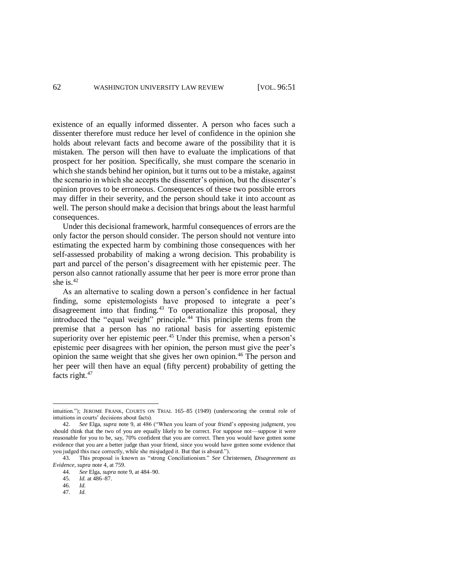existence of an equally informed dissenter. A person who faces such a dissenter therefore must reduce her level of confidence in the opinion she holds about relevant facts and become aware of the possibility that it is mistaken. The person will then have to evaluate the implications of that prospect for her position. Specifically, she must compare the scenario in which she stands behind her opinion, but it turns out to be a mistake, against the scenario in which she accepts the dissenter's opinion, but the dissenter's opinion proves to be erroneous. Consequences of these two possible errors may differ in their severity, and the person should take it into account as well. The person should make a decision that brings about the least harmful consequences.

Under this decisional framework, harmful consequences of errors are the only factor the person should consider. The person should not venture into estimating the expected harm by combining those consequences with her self-assessed probability of making a wrong decision. This probability is part and parcel of the person's disagreement with her epistemic peer. The person also cannot rationally assume that her peer is more error prone than she is. $42$ 

<span id="page-11-1"></span><span id="page-11-0"></span>As an alternative to scaling down a person's confidence in her factual finding, some epistemologists have proposed to integrate a peer's disagreement into that finding.<sup>43</sup> To operationalize this proposal, they introduced the "equal weight" principle.<sup>44</sup> This principle stems from the premise that a person has no rational basis for asserting epistemic superiority over her epistemic peer.<sup>45</sup> Under this premise, when a person's epistemic peer disagrees with her opinion, the person must give the peer's opinion the same weight that she gives her own opinion.<sup>46</sup> The person and her peer will then have an equal (fifty percent) probability of getting the facts right.<sup>47</sup>

47. *Id.* 

<span id="page-11-2"></span>intuition."); JEROME FRANK, COURTS ON TRIAL 165–85 (1949) (underscoring the central role of intuitions in courts' decisions about facts).

<sup>42.</sup> *See* Elga, *supra* note [9,](#page-4-0) at 486 ("When you learn of your friend's opposing judgment, you should think that the two of you are equally likely to be correct. For suppose not—suppose it were reasonable for you to be, say, 70% confident that you are correct. Then you would have gotten some evidence that you are a better judge than your friend, since you would have gotten some evidence that you judged this race correctly, while she misjudged it. But that is absurd.").

<sup>43.</sup> This proposal is known as "strong Conciliationism." *See* Christensen, *Disagreement as Evidence*, *supra* not[e 4,](#page-3-0) at 759.

<sup>44.</sup> *See* Elga, *supra* note [9,](#page-4-0) at 484–90.

<sup>45.</sup> *Id.* at 486–87.

<sup>46.</sup> *Id.*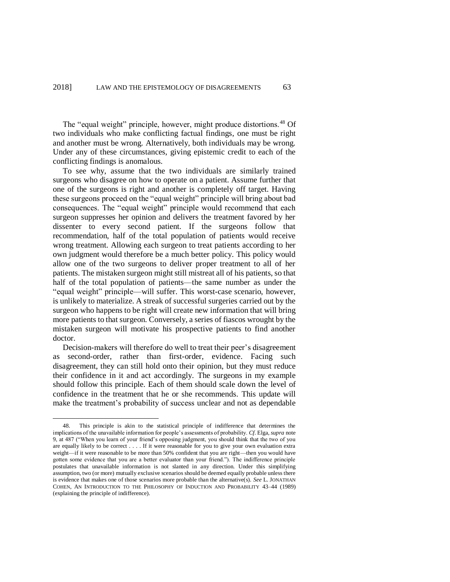<span id="page-12-0"></span>The "equal weight" principle, however, might produce distortions.<sup>48</sup> Of two individuals who make conflicting factual findings, one must be right and another must be wrong. Alternatively, both individuals may be wrong. Under any of these circumstances, giving epistemic credit to each of the conflicting findings is anomalous.

To see why, assume that the two individuals are similarly trained surgeons who disagree on how to operate on a patient. Assume further that one of the surgeons is right and another is completely off target. Having these surgeons proceed on the "equal weight" principle will bring about bad consequences. The "equal weight" principle would recommend that each surgeon suppresses her opinion and delivers the treatment favored by her dissenter to every second patient. If the surgeons follow that recommendation, half of the total population of patients would receive wrong treatment. Allowing each surgeon to treat patients according to her own judgment would therefore be a much better policy. This policy would allow one of the two surgeons to deliver proper treatment to all of her patients. The mistaken surgeon might still mistreat all of his patients, so that half of the total population of patients—the same number as under the "equal weight" principle—will suffer. This worst-case scenario, however, is unlikely to materialize. A streak of successful surgeries carried out by the surgeon who happens to be right will create new information that will bring more patients to that surgeon. Conversely, a series of fiascos wrought by the mistaken surgeon will motivate his prospective patients to find another doctor.

Decision-makers will therefore do well to treat their peer's disagreement as second-order, rather than first-order, evidence. Facing such disagreement, they can still hold onto their opinion, but they must reduce their confidence in it and act accordingly. The surgeons in my example should follow this principle. Each of them should scale down the level of confidence in the treatment that he or she recommends. This update will make the treatment's probability of success unclear and not as dependable

<sup>48.</sup> This principle is akin to the statistical principle of indifference that determines the implications of the unavailable information for people's assessments of probability. *Cf*. Elga, *supra* note [9,](#page-4-0) at 487 ("When you learn of your friend's opposing judgment, you should think that the two of you are equally likely to be correct . . . . If it were reasonable for you to give your own evaluation extra weight—if it were reasonable to be more than 50% confident that you are right—then you would have gotten some evidence that you are a better evaluator than your friend."). The indifference principle postulates that unavailable information is not slanted in any direction. Under this simplifying assumption, two (or more) mutually exclusive scenarios should be deemed equally probable unless there is evidence that makes one of those scenarios more probable than the alternative(s). *See* L. JONATHAN COHEN, AN INTRODUCTION TO THE PHILOSOPHY OF INDUCTION AND PROBABILITY 43–44 (1989) (explaining the principle of indifference).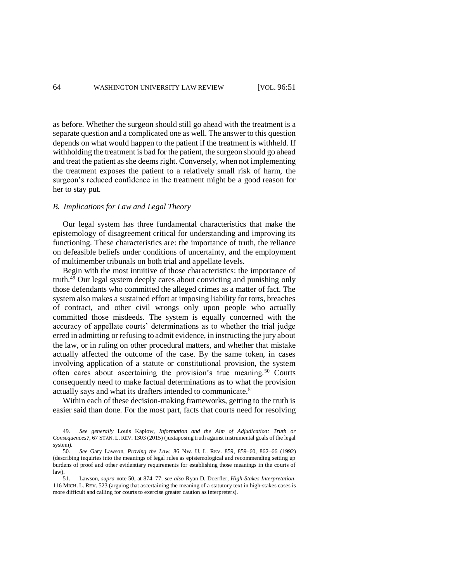as before. Whether the surgeon should still go ahead with the treatment is a separate question and a complicated one as well. The answer to this question depends on what would happen to the patient if the treatment is withheld. If withholding the treatment is bad for the patient, the surgeon should go ahead and treat the patient as she deems right. Conversely, when not implementing the treatment exposes the patient to a relatively small risk of harm, the surgeon's reduced confidence in the treatment might be a good reason for her to stay put.

## *B. Implications for Law and Legal Theory*

Our legal system has three fundamental characteristics that make the epistemology of disagreement critical for understanding and improving its functioning. These characteristics are: the importance of truth, the reliance on defeasible beliefs under conditions of uncertainty, and the employment of multimember tribunals on both trial and appellate levels.

Begin with the most intuitive of those characteristics: the importance of truth. $49$  Our legal system deeply cares about convicting and punishing only those defendants who committed the alleged crimes as a matter of fact. The system also makes a sustained effort at imposing liability for torts, breaches of contract, and other civil wrongs only upon people who actually committed those misdeeds. The system is equally concerned with the accuracy of appellate courts' determinations as to whether the trial judge erred in admitting or refusing to admit evidence, in instructing the jury about the law, or in ruling on other procedural matters, and whether that mistake actually affected the outcome of the case. By the same token, in cases involving application of a statute or constitutional provision, the system often cares about ascertaining the provision's true meaning.<sup>50</sup> Courts consequently need to make factual determinations as to what the provision actually says and what its drafters intended to communicate. 51

<span id="page-13-0"></span>Within each of these decision-making frameworks, getting to the truth is easier said than done. For the most part, facts that courts need for resolving

<sup>49.</sup> *See generally* Louis Kaplow, *Information and the Aim of Adjudication: Truth or Consequences?*, 67 STAN. L. REV. 1303 (2015) (juxtaposing truth against instrumental goals of the legal system).

<sup>50.</sup> *See* Gary Lawson, *Proving the Law*, 86 NW. U. L. REV. 859, 859–60, 862–66 (1992) (describing inquiries into the meanings of legal rules as epistemological and recommending setting up burdens of proof and other evidentiary requirements for establishing those meanings in the courts of law).

<sup>51.</sup> Lawson, *supra* note [50,](#page-13-0) at 874–77; *see also* Ryan D. Doerfler, *High-Stakes Interpretation*, 116 MICH. L. REV. 523 (arguing that ascertaining the meaning of a statutory text in high-stakes cases is more difficult and calling for courts to exercise greater caution as interpreters).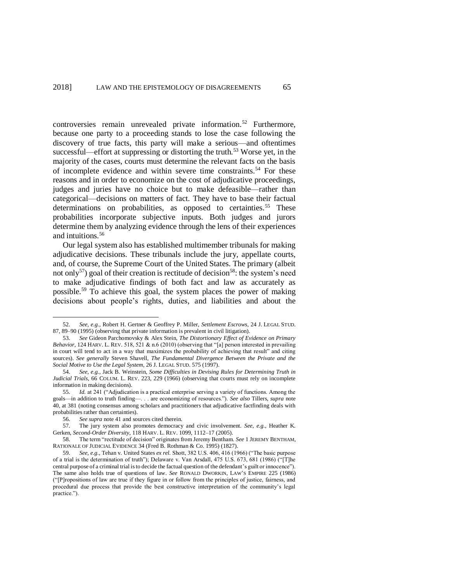controversies remain unrevealed private information.<sup>52</sup> Furthermore, because one party to a proceeding stands to lose the case following the discovery of true facts, this party will make a serious—and oftentimes successful—effort at suppressing or distorting the truth.<sup>53</sup> Worse yet, in the majority of the cases, courts must determine the relevant facts on the basis of incomplete evidence and within severe time constraints.<sup>54</sup> For these reasons and in order to economize on the cost of adjudicative proceedings, judges and juries have no choice but to make defeasible—rather than categorical—decisions on matters of fact. They have to base their factual determinations on probabilities, as opposed to certainties.<sup>55</sup> These probabilities incorporate subjective inputs. Both judges and jurors determine them by analyzing evidence through the lens of their experiences and intuitions.<sup>56</sup>

Our legal system also has established multimember tribunals for making adjudicative decisions. These tribunals include the jury, appellate courts, and, of course, the Supreme Court of the United States. The primary (albeit not only<sup>57</sup>) goal of their creation is rectitude of decision<sup>58</sup>: the system's need to make adjudicative findings of both fact and law as accurately as possible.<sup>59</sup> To achieve this goal, the system places the power of making decisions about people's rights, duties, and liabilities and about the

<span id="page-14-0"></span><sup>52.</sup> *See, e.g.*, Robert H. Gertner & Geoffrey P. Miller, *Settlement Escrows*, 24 J. LEGAL STUD. 87, 89–90 (1995) (observing that private information is prevalent in civil litigation).

<sup>53.</sup> *See* Gideon Parchomovsky & Alex Stein, *The Distortionary Effect of Evidence on Primary Behavior*, 124 HARV. L. REV. 518, 521 & n.6 (2010) (observing that "[a] person interested in prevailing in court will tend to act in a way that maximizes the probability of achieving that result" and citing sources). *See generally* Steven Shavell, *The Fundamental Divergence Between the Private and the Social Motive to Use the Legal System*, 26 J. LEGAL STUD. 575 (1997).

<sup>54.</sup> *See, e.g.*, Jack B. Weinstein, *Some Difficulties in Devising Rules for Determining Truth in Judicial Trials*, 66 COLUM. L. REV. 223, 229 (1966) (observing that courts must rely on incomplete information in making decisions).

<sup>55.</sup> *Id.* at 241 ("Adjudication is a practical enterprise serving a variety of functions. Among the goals—in addition to truth finding—. . . are economizing of resources."). *See also* Tillers, *supra* note [40,](#page-10-0) at 381 (noting consensus among scholars and practitioners that adjudicative factfinding deals with probabilities rather than certainties).

<sup>56.</sup> *See supra* note [41](#page-10-1) and sources cited therein.

<sup>57.</sup> The jury system also promotes democracy and civic involvement. *See, e.g.*, Heather K. Gerken, *Second-Order Diversity*, 118 HARV. L. REV. 1099, 1112–17 (2005).

<sup>58.</sup> The term "rectitude of decision" originates from Jeremy Bentham. *See* 1 JEREMY BENTHAM, RATIONALE OF JUDICIAL EVIDENCE 34 (Fred B. Rothman & Co. 1995) (1827).

<sup>59.</sup> *See, e.g.*, Tehan v. United States *ex rel.* Shott, 382 U.S. 406, 416 (1966) ("The basic purpose of a trial is the determination of truth"); Delaware v. Van Arsdall, 475 U.S. 673, 681 (1986) ("[T]he central purpose of a criminal trial is to decide the factual question of the defendant's guilt or innocence"). The same also holds true of questions of law. *See* RONALD DWORKIN, LAW'S EMPIRE 225 (1986) ("[P]ropositions of law are true if they figure in or follow from the principles of justice, fairness, and procedural due process that provide the best constructive interpretation of the community's legal practice.").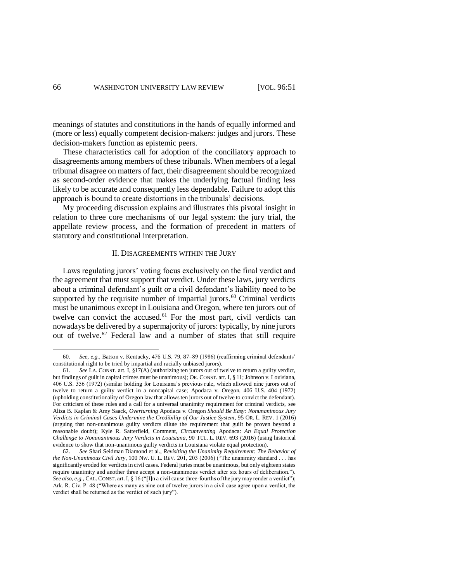meanings of statutes and constitutions in the hands of equally informed and (more or less) equally competent decision-makers: judges and jurors. These decision-makers function as epistemic peers.

These characteristics call for adoption of the conciliatory approach to disagreements among members of these tribunals. When members of a legal tribunal disagree on matters of fact, their disagreement should be recognized as second-order evidence that makes the underlying factual finding less likely to be accurate and consequently less dependable. Failure to adopt this approach is bound to create distortions in the tribunals' decisions.

My proceeding discussion explains and illustrates this pivotal insight in relation to three core mechanisms of our legal system: the jury trial, the appellate review process, and the formation of precedent in matters of statutory and constitutional interpretation.

## <span id="page-15-0"></span>II. DISAGREEMENTS WITHIN THE JURY

Laws regulating jurors' voting focus exclusively on the final verdict and the agreement that must support that verdict. Under these laws, jury verdicts about a criminal defendant's guilt or a civil defendant's liability need to be supported by the requisite number of impartial jurors. $^{60}$  Criminal verdicts must be unanimous except in Louisiana and Oregon, where ten jurors out of twelve can convict the accused.<sup>61</sup> For the most part, civil verdicts can nowadays be delivered by a supermajority of jurors: typically, by nine jurors out of twelve.<sup>62</sup> Federal law and a number of states that still require

<sup>60.</sup> *See, e.g.*, Batson v. Kentucky, 476 U.S. 79, 87–89 (1986) (reaffirming criminal defendants' constitutional right to be tried by impartial and racially unbiased jurors).

<sup>61.</sup> *See* LA. CONST. art. I, §17(A) (authorizing ten jurors out of twelve to return a guilty verdict, but findings of guilt in capital crimes must be unanimous); OR. CONST. art. I, § 11; Johnson v. Louisiana, 406 U.S. 356 (1972) (similar holding for Louisiana's previous rule, which allowed nine jurors out of twelve to return a guilty verdict in a noncapital case; Apodaca v. Oregon, 406 U.S. 404 (1972) (upholding constitutionality of Oregon law that allows ten jurors out of twelve to convict the defendant). For criticism of these rules and a call for a universal unanimity requirement for criminal verdicts, see Aliza B. Kaplan & Amy Saack, *Overturning* Apodaca v. Oregon *Should Be Easy: Nonunanimous Jury Verdicts in Criminal Cases Undermine the Credibility of Our Justice System*, 95 OR. L. REV. 1 (2016) (arguing that non-unanimous guilty verdicts dilute the requirement that guilt be proven beyond a reasonable doubt); Kyle R. Satterfield, Comment, *Circumventing* Apodaca: *An Equal Protection Challenge to Nonunanimous Jury Verdicts in Louisiana*, 90 TUL. L. REV. 693 (2016) (using historical evidence to show that non-unanimous guilty verdicts in Louisiana violate equal protection).

<sup>62.</sup> *See* Shari Seidman Diamond et al., *Revisiting the Unanimity Requirement: The Behavior of the Non-Unanimous Civil Jury*, 100 NW. U. L. REV. 201, 203 (2006) ("The unanimity standard . . . has significantly eroded for verdicts in civil cases. Federal juries must be unanimous, but only eighteen states require unanimity and another three accept a non-unanimous verdict after six hours of deliberation."). *See also, e.g.*, CAL. CONST. art. I, § 16 ("[I]n a civil cause three-fourths of the jury may render a verdict"); Ark. R. Civ. P. 48 ("Where as many as nine out of twelve jurors in a civil case agree upon a verdict, the verdict shall be returned as the verdict of such jury").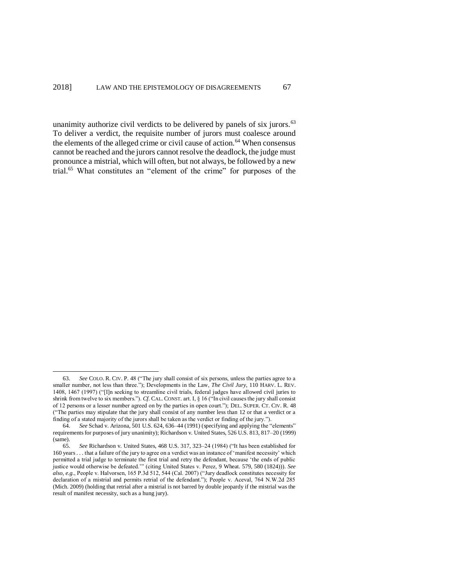<span id="page-16-0"></span>unanimity authorize civil verdicts to be delivered by panels of six jurors. $63$ To deliver a verdict, the requisite number of jurors must coalesce around the elements of the alleged crime or civil cause of action.<sup>64</sup> When consensus cannot be reached and the jurors cannot resolve the deadlock, the judge must pronounce a mistrial, which will often, but not always, be followed by a new trial.<sup>65</sup> What constitutes an "element of the crime" for purposes of the

<sup>63.</sup> *See* COLO. R. CIV. P. 48 ("The jury shall consist of six persons, unless the parties agree to a smaller number, not less than three."); Developments in the Law, *The Civil Jury*, 110 HARV. L. REV. 1408, 1467 (1997) ("[I]n seeking to streamline civil trials, federal judges have allowed civil juries to shrink from twelve to six members."). *Cf*. CAL. CONST. art. I, § 16 ("In civil causes the jury shall consist of 12 persons or a lesser number agreed on by the parties in open court."); DEL. SUPER. CT. CIV. R. 48 ("The parties may stipulate that the jury shall consist of any number less than 12 or that a verdict or a finding of a stated majority of the jurors shall be taken as the verdict or finding of the jury.").

<sup>64.</sup> *See* Schad v. Arizona, 501 U.S. 624, 636–44 (1991) (specifying and applying the "elements" requirements for purposes of jury unanimity); Richardson v. United States, 526 U.S. 813, 817–20 (1999) (same).

<sup>65.</sup> *See* Richardson v. United States, 468 U.S. 317, 323–24 (1984) ("It has been established for 160 years . . . that a failure of the jury to agree on a verdict was an instance of 'manifest necessity' which permitted a trial judge to terminate the first trial and retry the defendant, because 'the ends of public justice would otherwise be defeated.'" (citing United States v. Perez, 9 Wheat. 579, 580 (1824))). *See also, e.g.*, People v. Halvorsen, 165 P.3d 512, 544 (Cal. 2007) ("Jury deadlock constitutes necessity for declaration of a mistrial and permits retrial of the defendant."); People v. Aceval, 764 N.W.2d 285 (Mich. 2009) (holding that retrial after a mistrial is not barred by double jeopardy if the mistrial was the result of manifest necessity, such as a hung jury).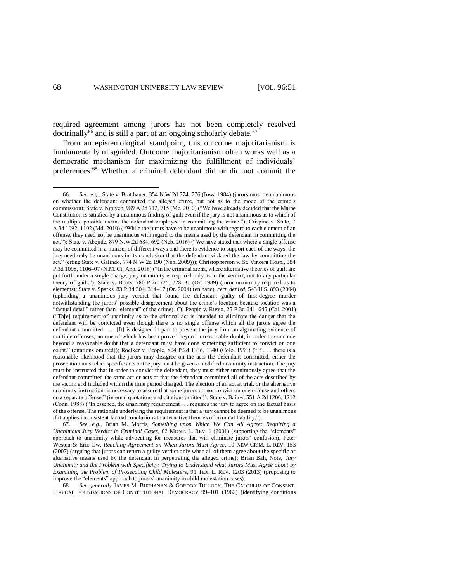<span id="page-17-1"></span><span id="page-17-0"></span>required agreement among jurors has not been completely resolved doctrinally<sup>66</sup> and is still a part of an ongoing scholarly debate.<sup>67</sup>

From an epistemological standpoint, this outcome majoritarianism is fundamentally misguided. Outcome majoritarianism often works well as a democratic mechanism for maximizing the fulfillment of individuals' preferences.<sup>68</sup> Whether a criminal defendant did or did not commit the

68. *See generally* JAMES M. BUCHANAN & GORDON TULLOCK, THE CALCULUS OF CONSENT: LOGICAL FOUNDATIONS OF CONSTITUTIONAL DEMOCRACY 99–101 (1962) (identifying conditions

<sup>66.</sup> *See, e.g.*, State v. Bratthauer, 354 N.W.2d 774, 776 (Iowa 1984) (jurors must be unanimous on whether the defendant committed the alleged crime, but not as to the mode of the crime's commission); State v. Nguyen, 989 A.2d 712, 715 (Me. 2010) ("We have already decided that the Maine Constitution is satisfied by a unanimous finding of guilt even if the jury is not unanimous as to which of the multiple possible means the defendant employed in committing the crime."); Crispino v. State, 7 A.3d 1092, 1102 (Md. 2010) ("While the jurors have to be unanimous with regard to each element of an offense, they need not be unanimous with regard to the means used by the defendant in committing the act."); State v. Abejide, 879 N.W.2d 684, 692 (Neb. 2016) ("We have stated that where a single offense may be committed in a number of different ways and there is evidence to support each of the ways, the jury need only be unanimous in its conclusion that the defendant violated the law by committing the act." (citing State v. Galindo, 774 N.W.2d 190 (Neb. 2009))); Christopherson v. St. Vincent Hosp., 384 P.3d 1098, 1106–07 (N.M. Ct. App. 2016) ("In the criminal arena, where alternative theories of guilt are put forth under a single charge, jury unanimity is required only as to the verdict, not to any particular theory of guilt."); State v. Boots, 780 P.2d 725, 728–31 (Or. 1989) (juror unanimity required as to elements); State v. Sparks, 83 P.3d 304, 314–17 (Or. 2004) (en banc), *cert. denied*, 543 U.S. 893 (2004) (upholding a unanimous jury verdict that found the defendant guilty of first-degree murder notwithstanding the jurors' possible disagreement about the crime's location because location was a "factual detail" rather than "element" of the crime). *Cf.* People v. Russo, 25 P.3d 641, 645 (Cal. 2001) ("Th[e] requirement of unanimity as to the criminal act is intended to eliminate the danger that the defendant will be convicted even though there is no single offense which all the jurors agree the defendant committed. . . . [It] is designed in part to prevent the jury from amalgamating evidence of multiple offenses, no one of which has been proved beyond a reasonable doubt, in order to conclude beyond a reasonable doubt that a defendant must have done something sufficient to convict on one count." (citations omitted)); Roelker v. People, 804 P.2d 1336, 1340 (Colo. 1991) ("If . . . there is a reasonable likelihood that the jurors may disagree on the acts the defendant committed, either the prosecution must elect specific acts or the jury must be given a modified unanimity instruction. The jury must be instructed that in order to convict the defendant, they must either unanimously agree that the defendant committed the same act or acts or that the defendant committed all of the acts described by the victim and included within the time period charged. The election of an act at trial, or the alternative unanimity instruction, is necessary to assure that some jurors do not convict on one offense and others on a separate offense." (internal quotations and citations omitted)); State v. Bailey, 551 A.2d 1206, 1212 (Conn. 1988) ("In essence, the unanimity requirement . . . requires the jury to agree on the factual basis of the offense. The rationale underlying the requirement is that a jury cannot be deemed to be unanimous if it applies inconsistent factual conclusions to alternative theories of criminal liability.").

<sup>67.</sup> *See, e.g.*, Brian M. Morris, *Something upon Which We Can All Agree: Requiring a Unanimous Jury Verdict in Criminal Cases*, 62 MONT. L. REV. 1 (2001) (supporting the "elements" approach to unanimity while advocating for measures that will eliminate jurors' confusion); Peter Westen & Eric Ow, *Reaching Agreement on When Jurors Must Agree*, 10 NEW CRIM. L. REV. 153 (2007) (arguing that jurors can return a guilty verdict only when all of them agree about the specific or alternative means used by the defendant in perpetrating the alleged crime); Brian Bah, Note, *Jury Unanimity and the Problem with Specificity: Trying to Understand what Jurors Must Agree about by Examining the Problem of Prosecuting Child Molesters*, 91 TEX. L. REV. 1203 (2013) (proposing to improve the "elements" approach to jurors' unanimity in child molestation cases).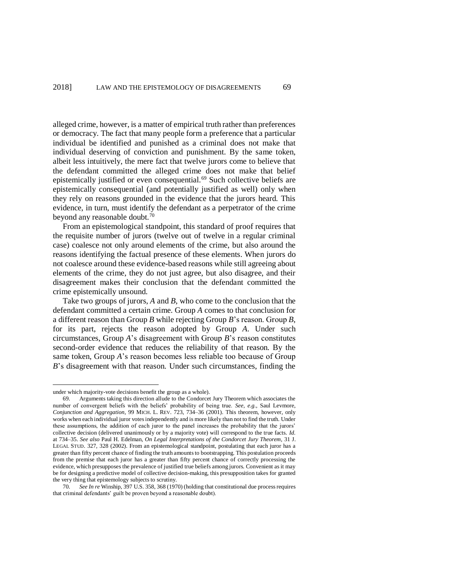alleged crime, however, is a matter of empirical truth rather than preferences or democracy. The fact that many people form a preference that a particular individual be identified and punished as a criminal does not make that individual deserving of conviction and punishment. By the same token, albeit less intuitively, the mere fact that twelve jurors come to believe that the defendant committed the alleged crime does not make that belief epistemically justified or even consequential.<sup>69</sup> Such collective beliefs are epistemically consequential (and potentially justified as well) only when they rely on reasons grounded in the evidence that the jurors heard. This evidence, in turn, must identify the defendant as a perpetrator of the crime beyond any reasonable doubt.<sup>70</sup>

From an epistemological standpoint, this standard of proof requires that the requisite number of jurors (twelve out of twelve in a regular criminal case) coalesce not only around elements of the crime, but also around the reasons identifying the factual presence of these elements. When jurors do not coalesce around these evidence-based reasons while still agreeing about elements of the crime, they do not just agree, but also disagree, and their disagreement makes their conclusion that the defendant committed the crime epistemically unsound.

Take two groups of jurors, *A* and *B*, who come to the conclusion that the defendant committed a certain crime. Group *A* comes to that conclusion for a different reason than Group *B* while rejecting Group *B*'s reason. Group *B*, for its part, rejects the reason adopted by Group *A*. Under such circumstances, Group *A*'s disagreement with Group *B*'s reason constitutes second-order evidence that reduces the reliability of that reason. By the same token, Group *A*'s reason becomes less reliable too because of Group *B*'s disagreement with that reason. Under such circumstances, finding the

under which majority-vote decisions benefit the group as a whole).

<sup>69.</sup> Arguments taking this direction allude to the Condorcet Jury Theorem which associates the number of convergent beliefs with the beliefs' probability of being true. *See, e.g.*, Saul Levmore, *Conjunction and Aggregation*, 99 MICH. L. REV. 723, 734–36 (2001). This theorem, however, only works when each individual juror votes independently and is more likely than not to find the truth. Under these assumptions, the addition of each juror to the panel increases the probability that the jurors' collective decision (delivered unanimously or by a majority vote) will correspond to the true facts. *Id.* at 734–35. *See also* Paul H. Edelman, *On Legal Interpretations of the Condorcet Jury Theorem*, 31 J. LEGAL STUD. 327, 328 (2002). From an epistemological standpoint, postulating that each juror has a greater than fifty percent chance of finding the truth amounts to bootstrapping. This postulation proceeds from the premise that each juror has a greater than fifty percent chance of correctly processing the evidence, which presupposes the prevalence of justified true beliefs among jurors. Convenient as it may be for designing a predictive model of collective decision-making, this presupposition takes for granted the very thing that epistemology subjects to scrutiny.

<sup>70.</sup> *See In re* Winship, 397 U.S. 358, 368 (1970) (holding that constitutional due process requires that criminal defendants' guilt be proven beyond a reasonable doubt).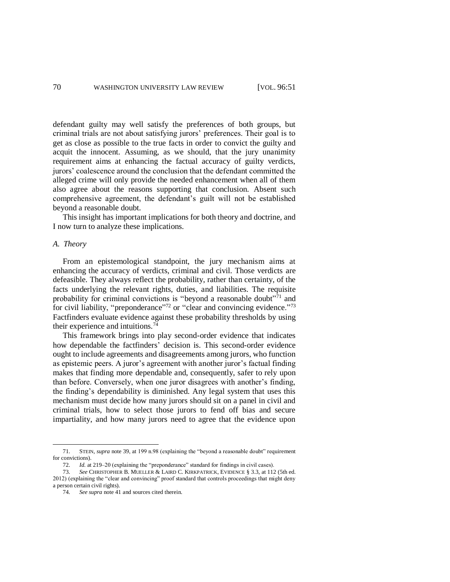defendant guilty may well satisfy the preferences of both groups, but criminal trials are not about satisfying jurors' preferences. Their goal is to get as close as possible to the true facts in order to convict the guilty and acquit the innocent. Assuming, as we should, that the jury unanimity requirement aims at enhancing the factual accuracy of guilty verdicts, jurors' coalescence around the conclusion that the defendant committed the alleged crime will only provide the needed enhancement when all of them also agree about the reasons supporting that conclusion. Absent such comprehensive agreement, the defendant's guilt will not be established beyond a reasonable doubt.

This insight has important implications for both theory and doctrine, and I now turn to analyze these implications.

## *A. Theory*

From an epistemological standpoint, the jury mechanism aims at enhancing the accuracy of verdicts, criminal and civil. Those verdicts are defeasible. They always reflect the probability, rather than certainty, of the facts underlying the relevant rights, duties, and liabilities. The requisite probability for criminal convictions is "beyond a reasonable doubt"<sup>71</sup> and for civil liability, "preponderance"<sup>72</sup> or "clear and convincing evidence."<sup>73</sup> Factfinders evaluate evidence against these probability thresholds by using their experience and intuitions.<sup>74</sup>

This framework brings into play second-order evidence that indicates how dependable the factfinders' decision is. This second-order evidence ought to include agreements and disagreements among jurors, who function as epistemic peers. A juror's agreement with another juror's factual finding makes that finding more dependable and, consequently, safer to rely upon than before. Conversely, when one juror disagrees with another's finding, the finding's dependability is diminished. Any legal system that uses this mechanism must decide how many jurors should sit on a panel in civil and criminal trials, how to select those jurors to fend off bias and secure impartiality, and how many jurors need to agree that the evidence upon

<sup>71.</sup> STEIN, *supra* not[e 39,](#page-10-2) at 199 n.98 (explaining the "beyond a reasonable doubt" requirement for convictions).

<sup>72.</sup> *Id.* at 219–20 (explaining the "preponderance" standard for findings in civil cases).

<sup>73.</sup> *See* CHRISTOPHER B. MUELLER & LAIRD C. KIRKPATRICK, EVIDENCE § 3.3, at 112 (5th ed. 2012) (explaining the "clear and convincing" proof standard that controls proceedings that might deny a person certain civil rights).

<sup>74.</sup> *See supra* note [41](#page-10-1) and sources cited therein.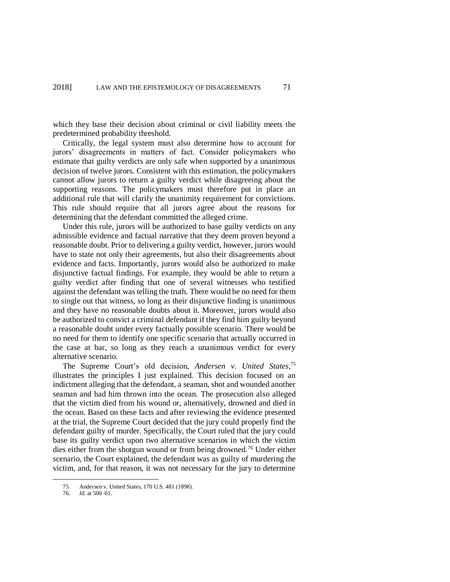which they base their decision about criminal or civil liability meets the predetermined probability threshold.

Critically, the legal system must also determine how to account for jurors' disagreements in matters of fact. Consider policymakers who estimate that guilty verdicts are only safe when supported by a unanimous decision of twelve jurors. Consistent with this estimation, the policymakers cannot allow jurors to return a guilty verdict while disagreeing about the supporting reasons. The policymakers must therefore put in place an additional rule that will clarify the unanimity requirement for convictions. This rule should require that all jurors agree about the reasons for determining that the defendant committed the alleged crime.

Under this rule, jurors will be authorized to base guilty verdicts on any admissible evidence and factual narrative that they deem proven beyond a reasonable doubt. Prior to delivering a guilty verdict, however, jurors would have to state not only their agreements, but also their disagreements about evidence and facts. Importantly, jurors would also be authorized to make disjunctive factual findings. For example, they would be able to return a guilty verdict after finding that one of several witnesses who testified against the defendant was telling the truth. There would be no need for them to single out that witness, so long as their disjunctive finding is unanimous and they have no reasonable doubts about it. Moreover, jurors would also be authorized to convict a criminal defendant if they find him guilty beyond a reasonable doubt under every factually possible scenario. There would be no need for them to identify one specific scenario that actually occurred in the case at bar, so long as they reach a unanimous verdict for every alternative scenario.

The Supreme Court's old decision, *Andersen v. United States*, 75 illustrates the principles I just explained. This decision focused on an indictment alleging that the defendant, a seaman, shot and wounded another seaman and had him thrown into the ocean. The prosecution also alleged that the victim died from his wound or, alternatively, drowned and died in the ocean. Based on these facts and after reviewing the evidence presented at the trial, the Supreme Court decided that the jury could properly find the defendant guilty of murder. Specifically, the Court ruled that the jury could base its guilty verdict upon two alternative scenarios in which the victim dies either from the shotgun wound or from being drowned.<sup>76</sup> Under either scenario, the Court explained, the defendant was as guilty of murdering the victim, and, for that reason, it was not necessary for the jury to determine

<sup>75.</sup> Andersen v. United States, 170 U.S. 481 (1898).

<sup>76.</sup> *Id.* at 500–01.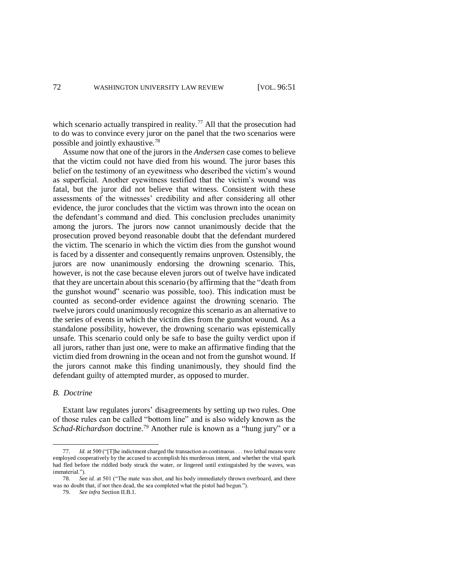which scenario actually transpired in reality.<sup>77</sup> All that the prosecution had to do was to convince every juror on the panel that the two scenarios were possible and jointly exhaustive.<sup>78</sup>

Assume now that one of the jurors in the *Andersen* case comes to believe that the victim could not have died from his wound. The juror bases this belief on the testimony of an eyewitness who described the victim's wound as superficial. Another eyewitness testified that the victim's wound was fatal, but the juror did not believe that witness. Consistent with these assessments of the witnesses' credibility and after considering all other evidence, the juror concludes that the victim was thrown into the ocean on the defendant's command and died. This conclusion precludes unanimity among the jurors. The jurors now cannot unanimously decide that the prosecution proved beyond reasonable doubt that the defendant murdered the victim. The scenario in which the victim dies from the gunshot wound is faced by a dissenter and consequently remains unproven. Ostensibly, the jurors are now unanimously endorsing the drowning scenario. This, however, is not the case because eleven jurors out of twelve have indicated that they are uncertain about this scenario (by affirming that the "death from the gunshot wound" scenario was possible, too). This indication must be counted as second-order evidence against the drowning scenario. The twelve jurors could unanimously recognize this scenario as an alternative to the series of events in which the victim dies from the gunshot wound. As a standalone possibility, however, the drowning scenario was epistemically unsafe. This scenario could only be safe to base the guilty verdict upon if all jurors, rather than just one, were to make an affirmative finding that the victim died from drowning in the ocean and not from the gunshot wound. If the jurors cannot make this finding unanimously, they should find the defendant guilty of attempted murder, as opposed to murder.

### *B. Doctrine*

Extant law regulates jurors' disagreements by setting up two rules. One of those rules can be called "bottom line" and is also widely known as the *Schad-Richardson* doctrine.<sup>79</sup> Another rule is known as a "hung jury" or a

*Id.* at 500 ("[T]he indictment charged the transaction as continuous . . . two lethal means were employed cooperatively by the accused to accomplish his murderous intent, and whether the vital spark had fled before the riddled body struck the water, or lingered until extinguished by the waves, was immaterial.").

<sup>78.</sup> *See id.* at 501 ("The mate was shot, and his body immediately thrown overboard, and there was no doubt that, if not then dead, the sea completed what the pistol had begun.").

<sup>79.</sup> *See infra* Section II.B.1.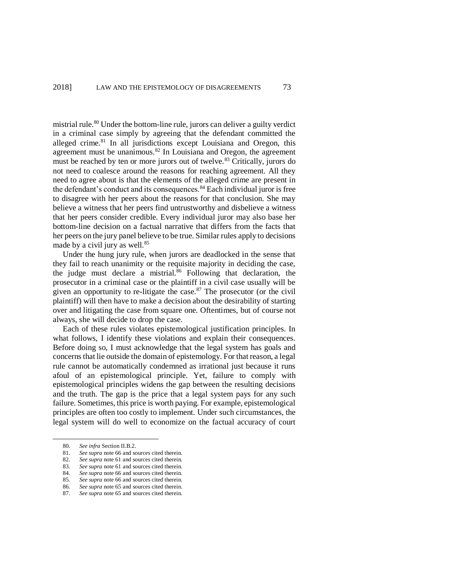mistrial rule.<sup>80</sup> Under the bottom-line rule, jurors can deliver a guilty verdict in a criminal case simply by agreeing that the defendant committed the alleged crime.<sup>81</sup> In all jurisdictions except Louisiana and Oregon, this agreement must be unanimous. $82$  In Louisiana and Oregon, the agreement must be reached by ten or more jurors out of twelve.<sup>83</sup> Critically, jurors do not need to coalesce around the reasons for reaching agreement. All they need to agree about is that the elements of the alleged crime are present in the defendant's conduct and its consequences.<sup>84</sup> Each individual juror is free to disagree with her peers about the reasons for that conclusion. She may believe a witness that her peers find untrustworthy and disbelieve a witness that her peers consider credible. Every individual juror may also base her bottom-line decision on a factual narrative that differs from the facts that her peers on the jury panel believe to be true. Similar rules apply to decisions made by a civil jury as well.<sup>85</sup>

Under the hung jury rule, when jurors are deadlocked in the sense that they fail to reach unanimity or the requisite majority in deciding the case, the judge must declare a mistrial.<sup>86</sup> Following that declaration, the prosecutor in a criminal case or the plaintiff in a civil case usually will be given an opportunity to re-litigate the case. $87$  The prosecutor (or the civil plaintiff) will then have to make a decision about the desirability of starting over and litigating the case from square one. Oftentimes, but of course not always, she will decide to drop the case.

Each of these rules violates epistemological justification principles. In what follows, I identify these violations and explain their consequences. Before doing so, I must acknowledge that the legal system has goals and concerns that lie outside the domain of epistemology. For that reason, a legal rule cannot be automatically condemned as irrational just because it runs afoul of an epistemological principle. Yet, failure to comply with epistemological principles widens the gap between the resulting decisions and the truth. The gap is the price that a legal system pays for any such failure. Sometimes, this price is worth paying. For example, epistemological principles are often too costly to implement. Under such circumstances, the legal system will do well to economize on the factual accuracy of court

<sup>80.</sup> *See infra* Section II.B.2.<br>81 *See sunra* note 66 and so

See supra note [66](#page-17-0) and sources cited therein.

<sup>82.</sup> *See supra* note [61](#page-15-0) and sources cited therein.

<sup>83.</sup> *See supra* note [61](#page-15-0) and sources cited therein.

<sup>84.</sup> *See supra* note [66](#page-17-0) and sources cited therein.<br>85. *See supra* note 66 and sources cited therein.

<sup>85.</sup> *See supra* note [66](#page-17-0) and sources cited therein. 86. *See supra* note [65](#page-16-0) and sources cited therein.

<sup>87.</sup> *See supra* note [65](#page-16-0) and sources cited therein.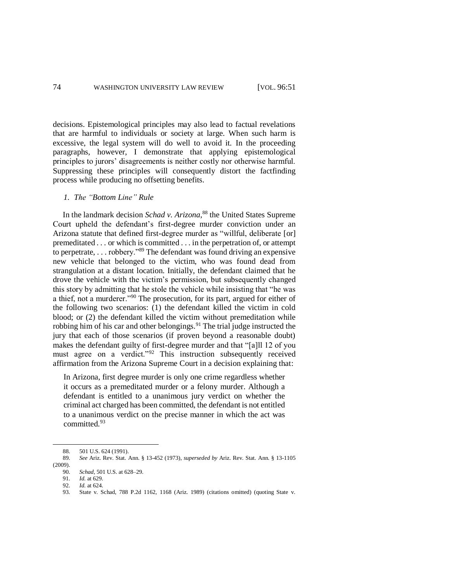decisions. Epistemological principles may also lead to factual revelations that are harmful to individuals or society at large. When such harm is excessive, the legal system will do well to avoid it. In the proceeding paragraphs, however, I demonstrate that applying epistemological principles to jurors' disagreements is neither costly nor otherwise harmful. Suppressing these principles will consequently distort the factfinding process while producing no offsetting benefits.

## *1. The "Bottom Line" Rule*

In the landmark decision *Schad v. Arizona*, <sup>88</sup> the United States Supreme Court upheld the defendant's first-degree murder conviction under an Arizona statute that defined first-degree murder as "willful, deliberate [or] premeditated . . . or which is committed . . . in the perpetration of, or attempt to perpetrate, . . . robbery."<sup>89</sup> The defendant was found driving an expensive new vehicle that belonged to the victim, who was found dead from strangulation at a distant location. Initially, the defendant claimed that he drove the vehicle with the victim's permission, but subsequently changed this story by admitting that he stole the vehicle while insisting that "he was a thief, not a murderer."<sup>90</sup> The prosecution, for its part, argued for either of the following two scenarios: (1) the defendant killed the victim in cold blood; or (2) the defendant killed the victim without premeditation while robbing him of his car and other belongings.<sup>91</sup> The trial judge instructed the jury that each of those scenarios (if proven beyond a reasonable doubt) makes the defendant guilty of first-degree murder and that "[a]ll 12 of you must agree on a verdict."<sup>92</sup> This instruction subsequently received affirmation from the Arizona Supreme Court in a decision explaining that:

In Arizona, first degree murder is only one crime regardless whether it occurs as a premeditated murder or a felony murder. Although a defendant is entitled to a unanimous jury verdict on whether the criminal act charged has been committed, the defendant is not entitled to a unanimous verdict on the precise manner in which the act was committed.<sup>93</sup>

<sup>88. 501</sup> U.S. 624 (1991).<br>89. See Ariz. Rev. Stat. 1

<sup>89.</sup> *See* Ariz. Rev. Stat. Ann. § 13-452 (1973), *superseded by* Ariz. Rev. Stat. Ann. § 13-1105 (2009).

<sup>90.</sup> *Schad*, 501 U.S. at 628–29.

<sup>91.</sup> *Id.* at 629.<br>92. *Id.* at 624.

*Id.* at 624.

<sup>93.</sup> State v. Schad, 788 P.2d 1162, 1168 (Ariz. 1989) (citations omitted) (quoting State v.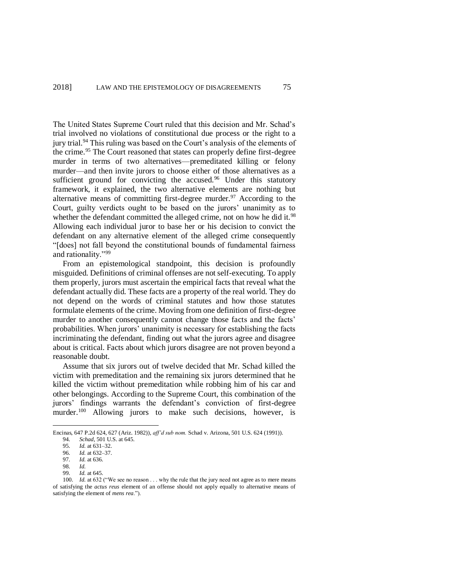The United States Supreme Court ruled that this decision and Mr. Schad's trial involved no violations of constitutional due process or the right to a jury trial.<sup>94</sup> This ruling was based on the Court's analysis of the elements of the crime.<sup>95</sup> The Court reasoned that states can properly define first-degree murder in terms of two alternatives—premeditated killing or felony murder—and then invite jurors to choose either of those alternatives as a sufficient ground for convicting the accused.<sup>96</sup> Under this statutory framework, it explained, the two alternative elements are nothing but alternative means of committing first-degree murder.<sup>97</sup> According to the Court, guilty verdicts ought to be based on the jurors' unanimity as to whether the defendant committed the alleged crime, not on how he did it.<sup>98</sup> Allowing each individual juror to base her or his decision to convict the defendant on any alternative element of the alleged crime consequently "[does] not fall beyond the constitutional bounds of fundamental fairness and rationality."<sup>99</sup>

From an epistemological standpoint, this decision is profoundly misguided. Definitions of criminal offenses are not self-executing. To apply them properly, jurors must ascertain the empirical facts that reveal what the defendant actually did. These facts are a property of the real world. They do not depend on the words of criminal statutes and how those statutes formulate elements of the crime. Moving from one definition of first-degree murder to another consequently cannot change those facts and the facts' probabilities. When jurors' unanimity is necessary for establishing the facts incriminating the defendant, finding out what the jurors agree and disagree about is critical. Facts about which jurors disagree are not proven beyond a reasonable doubt.

Assume that six jurors out of twelve decided that Mr. Schad killed the victim with premeditation and the remaining six jurors determined that he killed the victim without premeditation while robbing him of his car and other belongings. According to the Supreme Court, this combination of the jurors' findings warrants the defendant's conviction of first-degree murder.<sup>100</sup> Allowing jurors to make such decisions, however, is

Encinas, 647 P.2d 624, 627 (Ariz. 1982)), *aff'd sub nom.* Schad v. Arizona, 501 U.S. 624 (1991)).

<sup>94.</sup> *Schad*, 501 U.S. at 645.

<sup>95.</sup> *Id.* at 631–32.<br>96 *Id.* at 632–37

*Id.* at 632–37.

<sup>97.</sup> *Id.* at 636.

<sup>98.</sup> *Id.*

*Id.* at 645.

<sup>100.</sup> *Id.* at 632 ("We see no reason . . . why the rule that the jury need not agree as to mere means of satisfying the *actus reus* element of an offense should not apply equally to alternative means of satisfying the element of *mens rea*.").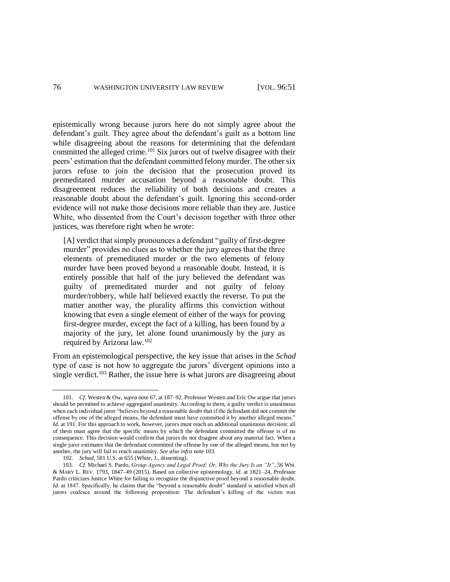epistemically wrong because jurors here do not simply agree about the defendant's guilt. They agree about the defendant's guilt as a bottom line while disagreeing about the reasons for determining that the defendant committed the alleged crime.<sup>101</sup> Six jurors out of twelve disagree with their peers' estimation that the defendant committed felony murder. The other six jurors refuse to join the decision that the prosecution proved its premeditated murder accusation beyond a reasonable doubt. This disagreement reduces the reliability of both decisions and creates a reasonable doubt about the defendant's guilt. Ignoring this second-order evidence will not make those decisions more reliable than they are. Justice White, who dissented from the Court's decision together with three other justices, was therefore right when he wrote:

[A] verdict that simply pronounces a defendant "guilty of first-degree murder" provides no clues as to whether the jury agrees that the three elements of premeditated murder or the two elements of felony murder have been proved beyond a reasonable doubt. Instead, it is entirely possible that half of the jury believed the defendant was guilty of premeditated murder and not guilty of felony murder/robbery, while half believed exactly the reverse. To put the matter another way, the plurality affirms this conviction without knowing that even a single element of either of the ways for proving first-degree murder, except the fact of a killing, has been found by a majority of the jury, let alone found unanimously by the jury as required by Arizona law.<sup>102</sup>

<span id="page-25-0"></span>From an epistemological perspective, the key issue that arises in the *Schad* type of case is not how to aggregate the jurors' divergent opinions into a single verdict.<sup>103</sup> Rather, the issue here is what jurors are disagreeing about

<sup>101.</sup> *Cf.* Westen & Ow, *supra* not[e 67,](#page-17-1) at 187–92. Professor Westen and Eric Ow argue that jurors should be permitted to achieve aggregated unanimity. According to them, a guilty verdict is unanimous when each individual juror "believes beyond a reasonable doubt that if the defendant did not commit the offense by one of the alleged means, the defendant must have committed it by another alleged means." *Id.* at 191. For this approach to work, however, jurors must reach an additional unanimous decision: all of them must agree that the specific means by which the defendant committed the offense is of no consequence. This decision would confirm that jurors do not disagree about any material fact. When a single juror estimates that the defendant committed the offense by one of the alleged means, but not by another, the jury will fail to reach unanimity. *See also infra* not[e 103.](#page-25-0)

<sup>102.</sup> *Schad*, 501 U.S. at 655 (White, J., dissenting).

<sup>103.</sup> *Cf.* Michael S. Pardo, *Group Agency and Legal Proof; Or, Why the Jury Is an "It"*, 56 WM. & MARY L. REV. 1793, 1847–49 (2015). Based on collective epistemology, *id.* at 1821–24, Professor Pardo criticizes Justice White for failing to recognize the disjunctive proof beyond a reasonable doubt. *Id.* at 1847. Specifically, he claims that the "beyond a reasonable doubt" standard is satisfied when all jurors coalesce around the following proposition: The defendant's killing of the victim was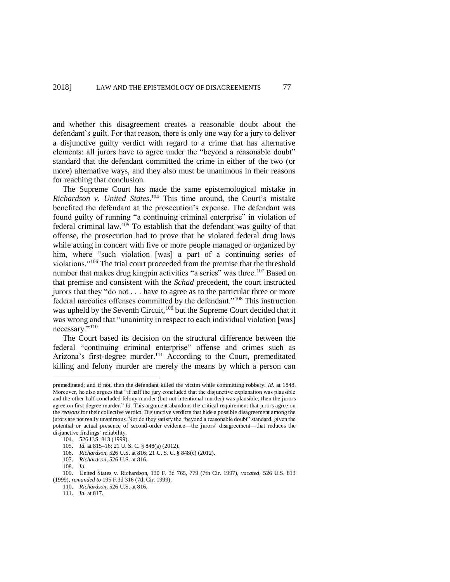and whether this disagreement creates a reasonable doubt about the defendant's guilt. For that reason, there is only one way for a jury to deliver a disjunctive guilty verdict with regard to a crime that has alternative elements: all jurors have to agree under the "beyond a reasonable doubt" standard that the defendant committed the crime in either of the two (or more) alternative ways, and they also must be unanimous in their reasons for reaching that conclusion.

The Supreme Court has made the same epistemological mistake in *Richardson v. United States*. <sup>104</sup> This time around, the Court's mistake benefited the defendant at the prosecution's expense. The defendant was found guilty of running "a continuing criminal enterprise" in violation of federal criminal law.<sup>105</sup> To establish that the defendant was guilty of that offense, the prosecution had to prove that he violated federal drug laws while acting in concert with five or more people managed or organized by him, where "such violation [was] a part of a continuing series of violations."<sup>106</sup> The trial court proceeded from the premise that the threshold number that makes drug kingpin activities "a series" was three.<sup>107</sup> Based on that premise and consistent with the *Schad* precedent, the court instructed jurors that they "do not . . . have to agree as to the particular three or more federal narcotics offenses committed by the defendant."<sup>108</sup> This instruction was upheld by the Seventh Circuit,<sup>109</sup> but the Supreme Court decided that it was wrong and that "unanimity in respect to each individual violation [was] necessary."<sup>110</sup>

The Court based its decision on the structural difference between the federal "continuing criminal enterprise" offense and crimes such as Arizona's first-degree murder.<sup>111</sup> According to the Court, premeditated killing and felony murder are merely the means by which a person can

premeditated; and if not, then the defendant killed the victim while committing robbery. *Id.* at 1848. Moreover, he also argues that "if half the jury concluded that the disjunctive explanation was plausible and the other half concluded felony murder (but not intentional murder) was plausible, then the jurors agree on first degree murder." *Id.* This argument abandons the critical requirement that jurors agree on the *reasons* for their collective verdict. Disjunctive verdicts that hide a possible disagreement among the jurors are not really unanimous. Nor do they satisfy the "beyond a reasonable doubt" standard, given the potential or actual presence of second-order evidence—the jurors' disagreement—that reduces the disjunctive findings' reliability.

<sup>104.</sup> 526 U.S. 813 (1999).

<sup>105.</sup> *Id.* at 815–16; 21 U. S. C. § 848(a) (2012).

<sup>106.</sup> *Richardson*, 526 U.S. at 816; 21 U. S. C. § 848(c) (2012).

<sup>107.</sup> *Richardson*, 526 U.S. at 816.

<sup>108.</sup> *Id.*

<sup>109.</sup> United States v. Richardson, 130 F. 3d 765, 779 (7th Cir. 1997), *vacated*, 526 U.S. 813 (1999), *remanded to* 195 F.3d 316 (7th Cir. 1999).

<sup>110.</sup> *Richardson*, 526 U.S. at 816.

<sup>111.</sup> *Id.* at 817.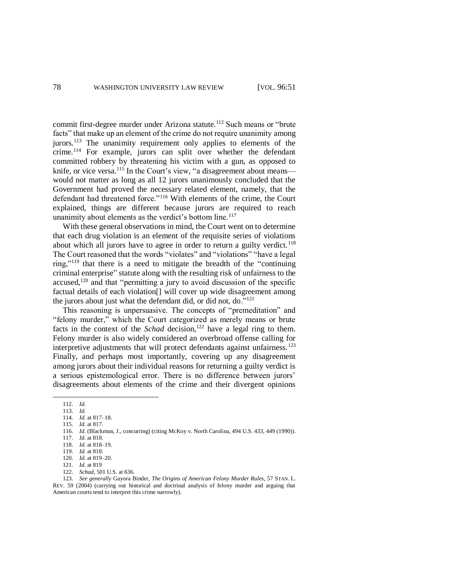commit first-degree murder under Arizona statute.<sup>112</sup> Such means or "brute facts" that make up an element of the crime do not require unanimity among jurors.<sup>113</sup> The unanimity requirement only applies to elements of the crime.<sup>114</sup> For example, jurors can split over whether the defendant committed robbery by threatening his victim with a gun, as opposed to knife, or vice versa.<sup>115</sup> In the Court's view, "a disagreement about means would not matter as long as all 12 jurors unanimously concluded that the Government had proved the necessary related element, namely, that the defendant had threatened force."<sup>116</sup> With elements of the crime, the Court explained, things are different because jurors are required to reach unanimity about elements as the verdict's bottom line.<sup>117</sup>

With these general observations in mind, the Court went on to determine that each drug violation is an element of the requisite series of violations about which all jurors have to agree in order to return a guilty verdict.<sup>118</sup> The Court reasoned that the words "violates" and "violations" "have a legal ring,"<sup>119</sup> that there is a need to mitigate the breadth of the "continuing criminal enterprise" statute along with the resulting risk of unfairness to the accused,<sup>120</sup> and that "permitting a jury to avoid discussion of the specific factual details of each violation[] will cover up wide disagreement among the jurors about just what the defendant did, or did not, do. $121$ 

This reasoning is unpersuasive. The concepts of "premeditation" and "felony murder," which the Court categorized as merely means or brute facts in the context of the *Schad* decision,<sup>122</sup> have a legal ring to them. Felony murder is also widely considered an overbroad offense calling for interpretive adjustments that will protect defendants against unfairness.<sup>123</sup> Finally, and perhaps most importantly, covering up any disagreement among jurors about their individual reasons for returning a guilty verdict is a serious epistemological error. There is no difference between jurors' disagreements about elements of the crime and their divergent opinions

l

116. *Id.* (Blackmun, J., concurring) (citing McKoy v. North Carolina, 494 U.S. 433, 449 (1990)).

122. *Schad*, 501 U.S. at 636.

123. *See generally* Guyora Binder, *The Origins of American Felony Murder Rules*, 57 STAN. L. REV. 59 (2004) (carrying out historical and doctrinal analysis of felony murder and arguing that American courts tend to interpret this crime narrowly).

<sup>112.</sup> *Id.*

<sup>113.</sup> *Id.*

<sup>114.</sup> *Id.* at 817–18.

<sup>115.</sup> *Id.* at 817.

<sup>117.</sup> *Id.* at 818.

<sup>118.</sup> *Id.* at 818–19.

<sup>119.</sup> *Id.* at 818.

<sup>120.</sup> *Id.* at 819–20.

<sup>121.</sup> *Id.* at 819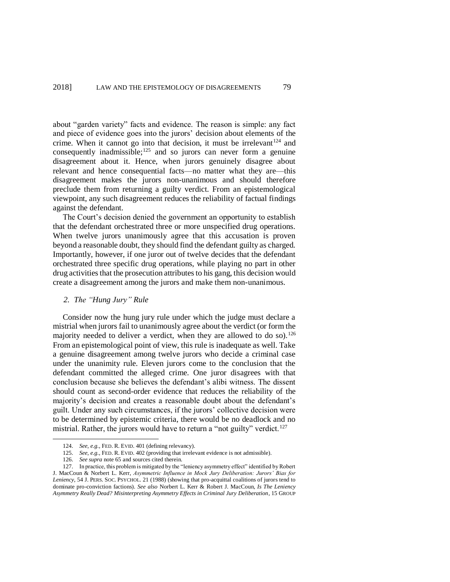about "garden variety" facts and evidence. The reason is simple: any fact and piece of evidence goes into the jurors' decision about elements of the crime. When it cannot go into that decision, it must be irrelevant  $124$  and consequently inadmissible;<sup>125</sup> and so jurors can never form a genuine disagreement about it. Hence, when jurors genuinely disagree about relevant and hence consequential facts—no matter what they are—this disagreement makes the jurors non-unanimous and should therefore preclude them from returning a guilty verdict. From an epistemological viewpoint, any such disagreement reduces the reliability of factual findings against the defendant.

The Court's decision denied the government an opportunity to establish that the defendant orchestrated three or more unspecified drug operations. When twelve jurors unanimously agree that this accusation is proven beyond a reasonable doubt, they should find the defendant guilty as charged. Importantly, however, if one juror out of twelve decides that the defendant orchestrated three specific drug operations, while playing no part in other drug activities that the prosecution attributes to his gang, this decision would create a disagreement among the jurors and make them non-unanimous.

## *2. The "Hung Jury" Rule*

Consider now the hung jury rule under which the judge must declare a mistrial when jurors fail to unanimously agree about the verdict (or form the majority needed to deliver a verdict, when they are allowed to do so).<sup>126</sup> From an epistemological point of view, this rule is inadequate as well. Take a genuine disagreement among twelve jurors who decide a criminal case under the unanimity rule. Eleven jurors come to the conclusion that the defendant committed the alleged crime. One juror disagrees with that conclusion because she believes the defendant's alibi witness. The dissent should count as second-order evidence that reduces the reliability of the majority's decision and creates a reasonable doubt about the defendant's guilt. Under any such circumstances, if the jurors' collective decision were to be determined by epistemic criteria, there would be no deadlock and no mistrial. Rather, the jurors would have to return a "not guilty" verdict.<sup>127</sup>

<sup>124.</sup> *See, e.g.*, FED. R. EVID. 401 (defining relevancy).

<sup>125.</sup> *See, e.g.*, FED. R. EVID. 402 (providing that irrelevant evidence is not admissible).

<sup>126.</sup> *See supra* note [65](#page-16-0) and sources cited therein.

<sup>127.</sup> In practice, this problem is mitigated by the "leniency asymmetry effect" identified by Robert J. MacCoun & Norbert L. Kerr, *Asymmetric Influence in Mock Jury Deliberation: Jurors' Bias for Leniency*, 54 J. PERS. SOC. PSYCHOL. 21 (1988) (showing that pro-acquittal coalitions of jurors tend to dominate pro-conviction factions). *See also* Norbert L. Kerr & Robert J. MacCoun, *Is The Leniency Asymmetry Really Dead? Misinterpreting Asymmetry Effects in Criminal Jury Deliberation*, 15 GROUP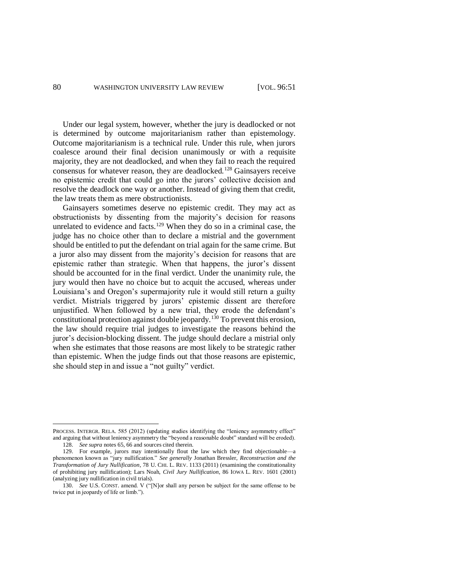Under our legal system, however, whether the jury is deadlocked or not is determined by outcome majoritarianism rather than epistemology. Outcome majoritarianism is a technical rule. Under this rule, when jurors coalesce around their final decision unanimously or with a requisite majority, they are not deadlocked, and when they fail to reach the required consensus for whatever reason, they are deadlocked.<sup>128</sup> Gainsayers receive no epistemic credit that could go into the jurors' collective decision and resolve the deadlock one way or another. Instead of giving them that credit, the law treats them as mere obstructionists.

Gainsayers sometimes deserve no epistemic credit. They may act as obstructionists by dissenting from the majority's decision for reasons unrelated to evidence and facts.<sup>129</sup> When they do so in a criminal case, the judge has no choice other than to declare a mistrial and the government should be entitled to put the defendant on trial again for the same crime. But a juror also may dissent from the majority's decision for reasons that are epistemic rather than strategic. When that happens, the juror's dissent should be accounted for in the final verdict. Under the unanimity rule, the jury would then have no choice but to acquit the accused, whereas under Louisiana's and Oregon's supermajority rule it would still return a guilty verdict. Mistrials triggered by jurors' epistemic dissent are therefore unjustified. When followed by a new trial, they erode the defendant's constitutional protection against double jeopardy.<sup>130</sup> To prevent this erosion, the law should require trial judges to investigate the reasons behind the juror's decision-blocking dissent. The judge should declare a mistrial only when she estimates that those reasons are most likely to be strategic rather than epistemic. When the judge finds out that those reasons are epistemic, she should step in and issue a "not guilty" verdict.

PROCESS. INTERGR. RELA. 585 (2012) (updating studies identifying the "leniency asymmetry effect" and arguing that without leniency asymmetry the "beyond a reasonable doubt" standard will be eroded). 128. *See supra* note[s 65,](#page-16-0) [66](#page-17-0) and sources cited therein.

<sup>129.</sup> For example, jurors may intentionally flout the law which they find objectionable—a phenomenon known as "jury nullification." *See generally* Jonathan Bressler, *Reconstruction and the Transformation of Jury Nullification*, 78 U. CHI. L. REV. 1133 (2011) (examining the constitutionality of prohibiting jury nullification); Lars Noah, *Civil Jury Nullification*, 86 IOWA L. REV. 1601 (2001) (analyzing jury nullification in civil trials).

<sup>130.</sup> *See* U.S. CONST. amend. V ("[N]or shall any person be subject for the same offense to be twice put in jeopardy of life or limb.").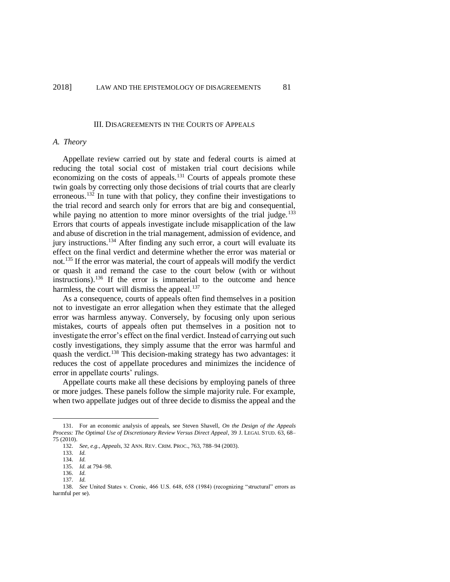#### III. DISAGREEMENTS IN THE COURTS OF APPEALS

### *A. Theory*

Appellate review carried out by state and federal courts is aimed at reducing the total social cost of mistaken trial court decisions while economizing on the costs of appeals.<sup>131</sup> Courts of appeals promote these twin goals by correcting only those decisions of trial courts that are clearly erroneous.<sup>132</sup> In tune with that policy, they confine their investigations to the trial record and search only for errors that are big and consequential, while paying no attention to more minor oversights of the trial judge.<sup>133</sup> Errors that courts of appeals investigate include misapplication of the law and abuse of discretion in the trial management, admission of evidence, and jury instructions.<sup>134</sup> After finding any such error, a court will evaluate its effect on the final verdict and determine whether the error was material or not.<sup>135</sup> If the error was material, the court of appeals will modify the verdict or quash it and remand the case to the court below (with or without instructions).<sup>136</sup> If the error is immaterial to the outcome and hence harmless, the court will dismiss the appeal. $137$ 

As a consequence, courts of appeals often find themselves in a position not to investigate an error allegation when they estimate that the alleged error was harmless anyway. Conversely, by focusing only upon serious mistakes, courts of appeals often put themselves in a position not to investigate the error's effect on the final verdict. Instead of carrying out such costly investigations, they simply assume that the error was harmful and quash the verdict.<sup>138</sup> This decision-making strategy has two advantages: it reduces the cost of appellate procedures and minimizes the incidence of error in appellate courts' rulings.

Appellate courts make all these decisions by employing panels of three or more judges. These panels follow the simple majority rule. For example, when two appellate judges out of three decide to dismiss the appeal and the

<sup>131.</sup> For an economic analysis of appeals, see Steven Shavell, *On the Design of the Appeals Process: The Optimal Use of Discretionary Review Versus Direct Appeal*, 39 J. LEGAL STUD. 63, 68– 75 (2010).

<sup>132.</sup> *See, e.g.*, *Appeals*, 32 ANN. REV. CRIM. PROC., 763, 788–94 (2003).

<sup>133.</sup> *Id.*

<sup>134.</sup> *Id.*

<sup>135.</sup> *Id.* at 794–98.

<sup>136.</sup> *Id.* 137. *Id.*

<sup>138.</sup> *See* United States v. Cronic, 466 U.S. 648, 658 (1984) (recognizing "structural" errors as harmful per se).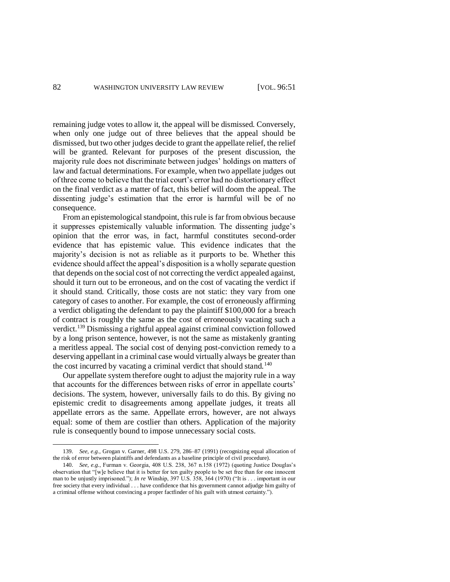remaining judge votes to allow it, the appeal will be dismissed. Conversely, when only one judge out of three believes that the appeal should be dismissed, but two other judges decide to grant the appellate relief, the relief will be granted. Relevant for purposes of the present discussion, the majority rule does not discriminate between judges' holdings on matters of law and factual determinations. For example, when two appellate judges out of three come to believe that the trial court's error had no distortionary effect on the final verdict as a matter of fact, this belief will doom the appeal. The dissenting judge's estimation that the error is harmful will be of no consequence.

From an epistemological standpoint, this rule is far from obvious because it suppresses epistemically valuable information. The dissenting judge's opinion that the error was, in fact, harmful constitutes second-order evidence that has epistemic value. This evidence indicates that the majority's decision is not as reliable as it purports to be. Whether this evidence should affect the appeal's disposition is a wholly separate question that depends on the social cost of not correcting the verdict appealed against, should it turn out to be erroneous, and on the cost of vacating the verdict if it should stand. Critically, those costs are not static: they vary from one category of cases to another. For example, the cost of erroneously affirming a verdict obligating the defendant to pay the plaintiff \$100,000 for a breach of contract is roughly the same as the cost of erroneously vacating such a verdict.<sup>139</sup> Dismissing a rightful appeal against criminal conviction followed by a long prison sentence, however, is not the same as mistakenly granting a meritless appeal. The social cost of denying post-conviction remedy to a deserving appellant in a criminal case would virtually always be greater than the cost incurred by vacating a criminal verdict that should stand.<sup>140</sup>

Our appellate system therefore ought to adjust the majority rule in a way that accounts for the differences between risks of error in appellate courts' decisions. The system, however, universally fails to do this. By giving no epistemic credit to disagreements among appellate judges, it treats all appellate errors as the same. Appellate errors, however, are not always equal: some of them are costlier than others. Application of the majority rule is consequently bound to impose unnecessary social costs.

<sup>139.</sup> *See, e.g.*, Grogan v. Garner, 498 U.S. 279, 286–87 (1991) (recognizing equal allocation of the risk of error between plaintiffs and defendants as a baseline principle of civil procedure).

<sup>140.</sup> *See, e.g.*, Furman v. Georgia, 408 U.S. 238, 367 n.158 (1972) (quoting Justice Douglas's observation that "[w]e believe that it is better for ten guilty people to be set free than for one innocent man to be unjustly imprisoned."); *In re* Winship, 397 U.S. 358, 364 (1970) ("It is . . . important in our free society that every individual . . . have confidence that his government cannot adjudge him guilty of a criminal offense without convincing a proper factfinder of his guilt with utmost certainty.").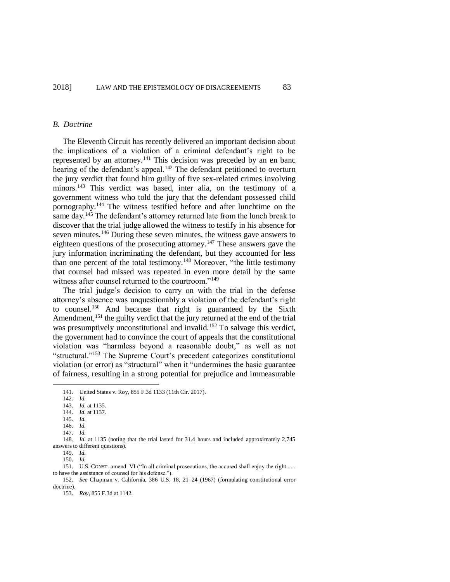#### *B. Doctrine*

The Eleventh Circuit has recently delivered an important decision about the implications of a violation of a criminal defendant's right to be represented by an attorney.<sup>141</sup> This decision was preceded by an en banc hearing of the defendant's appeal.<sup>142</sup> The defendant petitioned to overturn the jury verdict that found him guilty of five sex-related crimes involving minors.<sup>143</sup> This verdict was based, inter alia, on the testimony of a government witness who told the jury that the defendant possessed child pornography.<sup>144</sup> The witness testified before and after lunchtime on the same day.<sup>145</sup> The defendant's attorney returned late from the lunch break to discover that the trial judge allowed the witness to testify in his absence for seven minutes.<sup>146</sup> During these seven minutes, the witness gave answers to eighteen questions of the prosecuting attorney.<sup>147</sup> These answers gave the jury information incriminating the defendant, but they accounted for less than one percent of the total testimony.<sup>148</sup> Moreover, "the little testimony that counsel had missed was repeated in even more detail by the same witness after counsel returned to the courtroom."<sup>149</sup>

The trial judge's decision to carry on with the trial in the defense attorney's absence was unquestionably a violation of the defendant's right to counsel.<sup>150</sup> And because that right is guaranteed by the Sixth Amendment,<sup>151</sup> the guilty verdict that the jury returned at the end of the trial was presumptively unconstitutional and invalid.<sup>152</sup> To salvage this verdict, the government had to convince the court of appeals that the constitutional violation was "harmless beyond a reasonable doubt," as well as not "structural."<sup>153</sup> The Supreme Court's precedent categorizes constitutional violation (or error) as "structural" when it "undermines the basic guarantee of fairness, resulting in a strong potential for prejudice and immeasurable

l

146. *Id.*

150. *Id.*

151. U.S. CONST. amend. VI ("In all criminal prosecutions, the accused shall enjoy the right . . . to have the assistance of counsel for his defense.").

152. *See* Chapman v. California, 386 U.S. 18, 21–24 (1967) (formulating constitutional error doctrine).

153. *Roy*, 855 F.3d at 1142.

<span id="page-32-0"></span><sup>141.</sup> United States v. Roy, 855 F.3d 1133 (11th Cir. 2017).

<sup>142.</sup> *Id.*

<sup>143.</sup> *Id.* at 1135.

<sup>144.</sup> *Id.* at 1137.

<sup>145.</sup> *Id.*

<sup>147.</sup> *Id.*

<sup>148.</sup> *Id.* at 1135 (noting that the trial lasted for 31.4 hours and included approximately 2,745 answers to different questions).

<sup>149.</sup> *Id.*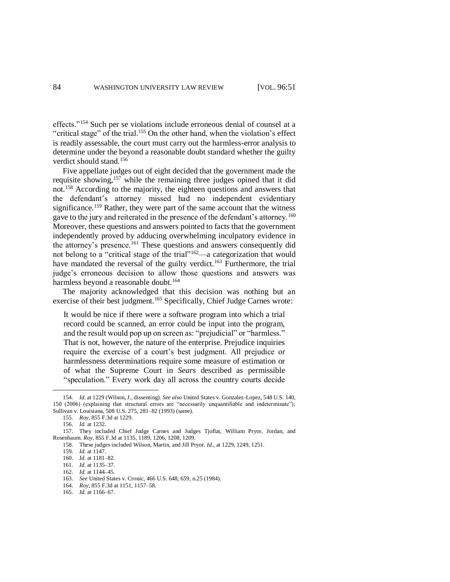effects."<sup>154</sup> Such per se violations include erroneous denial of counsel at a "critical stage" of the trial.<sup>155</sup> On the other hand, when the violation's effect is readily assessable, the court must carry out the harmless-error analysis to determine under the beyond a reasonable doubt standard whether the guilty verdict should stand.<sup>156</sup>

<span id="page-33-0"></span>Five appellate judges out of eight decided that the government made the requisite showing,<sup>157</sup> while the remaining three judges opined that it did not.<sup>158</sup> According to the majority, the eighteen questions and answers that the defendant's attorney missed had no independent evidentiary significance.<sup>159</sup> Rather, they were part of the same account that the witness gave to the jury and reiterated in the presence of the defendant's attorney.<sup>160</sup> Moreover, these questions and answers pointed to facts that the government independently proved by adducing overwhelming inculpatory evidence in the attorney's presence.<sup>161</sup> These questions and answers consequently did not belong to a "critical stage of the trial"<sup>162</sup>—a categorization that would have mandated the reversal of the guilty verdict.<sup>163</sup> Furthermore, the trial judge's erroneous decision to allow those questions and answers was harmless beyond a reasonable doubt.<sup>164</sup>

The majority acknowledged that this decision was nothing but an exercise of their best judgment.<sup>165</sup> Specifically, Chief Judge Carnes wrote:

It would be nice if there were a software program into which a trial record could be scanned, an error could be input into the program, and the result would pop up on screen as: "prejudicial" or "harmless." That is not, however, the nature of the enterprise. Prejudice inquiries require the exercise of a court's best judgment. All prejudice or harmlessness determinations require some measure of estimation or of what the Supreme Court in *Sears* described as permissible "speculation." Every work day all across the country courts decide

<sup>154.</sup> *Id.* at 1229 (Wilson, J., dissenting). *See also* United States v. Gonzalez-Lopez, 548 U.S. 140, 150 (2006) (explaining that structural errors are "necessarily unquantifiable and indeterminate"); Sullivan v. Louisiana, 508 U.S. 275, 281–82 (1993) (same).

<sup>155.</sup> *Roy*, 855 F.3d at 1229.

<sup>156.</sup> *Id.* at 1232.

<sup>157.</sup> They included Chief Judge Carnes and Judges Tjoflat, William Pryor, Jordan, and Rosenbaum. *Roy*, 855 F.3d at 1135, 1189, 1206, 1208, 1209.

<sup>158.</sup> These judges included Wilson, Martin, and Jill Pryor. *Id.*, at 1229, 1249, 1251.

<sup>159.</sup> *Id.* at 1147.

<sup>160.</sup> *Id.* at 1181–82.

<sup>161.</sup> *Id.* at 1135–37. 162. *Id.* at 1144–45.

<sup>163.</sup> *See* United States v. Cronic, 466 U.S. 648, 659, n.25 (1984).

<sup>164.</sup> *Roy*, 855 F.3d at 1151, 1157–58.

<sup>165.</sup> *Id.* at 1166–67.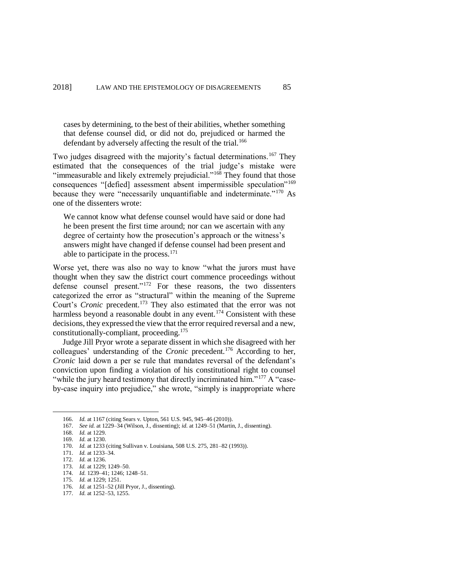cases by determining, to the best of their abilities, whether something that defense counsel did, or did not do, prejudiced or harmed the defendant by adversely affecting the result of the trial.<sup>166</sup>

Two judges disagreed with the majority's factual determinations.<sup>167</sup> They estimated that the consequences of the trial judge's mistake were "immeasurable and likely extremely prejudicial."<sup>168</sup> They found that those consequences "[defied] assessment absent impermissible speculation"<sup>169</sup> because they were "necessarily unquantifiable and indeterminate."<sup>170</sup> As one of the dissenters wrote:

We cannot know what defense counsel would have said or done had he been present the first time around; nor can we ascertain with any degree of certainty how the prosecution's approach or the witness's answers might have changed if defense counsel had been present and able to participate in the process. $171$ 

Worse yet, there was also no way to know "what the jurors must have thought when they saw the district court commence proceedings without defense counsel present."<sup>172</sup> For these reasons, the two dissenters categorized the error as "structural" within the meaning of the Supreme Court's *Cronic* precedent.<sup>173</sup> They also estimated that the error was not harmless beyond a reasonable doubt in any event.<sup>174</sup> Consistent with these decisions, they expressed the view that the error required reversal and a new, constitutionally-compliant, proceeding.<sup>175</sup>

Judge Jill Pryor wrote a separate dissent in which she disagreed with her colleagues' understanding of the *Cronic* precedent.<sup>176</sup> According to her, *Cronic* laid down a per se rule that mandates reversal of the defendant's conviction upon finding a violation of his constitutional right to counsel "while the jury heard testimony that directly incriminated him."<sup>177</sup> A "caseby-case inquiry into prejudice," she wrote, "simply is inappropriate where

<sup>166.</sup> *Id.* at 1167 (citing Sears v. Upton, 561 U.S. 945, 945–46 (2010)).

<sup>167.</sup> *See id.* at 1229–34 (Wilson, J., dissenting); *id.* at 1249–51 (Martin, J., dissenting).

<sup>168.</sup> *Id.* at 1229.

<sup>169.</sup> *Id.* at 1230.

<sup>170.</sup> *Id.* at 1233 (citing Sullivan v. Louisiana, 508 U.S. 275, 281–82 (1993)).

<sup>171.</sup> *Id.* at 1233–34.

<sup>172.</sup> *Id.* at 1236.

<sup>173.</sup> *Id.* at 1229; 1249–50.

<sup>174.</sup> *Id.* 1239–41; 1246; 1248–51. 175. *Id.* at 1229; 1251.

<sup>176.</sup> *Id.* at 1251–52 (Jill Pryor, J., dissenting).

<sup>177.</sup> *Id.* at 1252–53, 1255.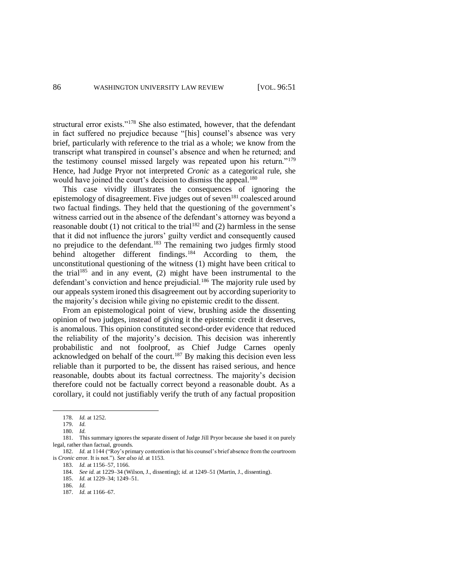structural error exists."<sup>178</sup> She also estimated, however, that the defendant in fact suffered no prejudice because "[his] counsel's absence was very brief, particularly with reference to the trial as a whole; we know from the transcript what transpired in counsel's absence and when he returned; and the testimony counsel missed largely was repeated upon his return."<sup>179</sup> Hence, had Judge Pryor not interpreted *Cronic* as a categorical rule, she would have joined the court's decision to dismiss the appeal.<sup>180</sup>

This case vividly illustrates the consequences of ignoring the epistemology of disagreement. Five judges out of seven<sup>181</sup> coalesced around two factual findings. They held that the questioning of the government's witness carried out in the absence of the defendant's attorney was beyond a reasonable doubt (1) not critical to the trial<sup>182</sup> and (2) harmless in the sense that it did not influence the jurors' guilty verdict and consequently caused no prejudice to the defendant.<sup>183</sup> The remaining two judges firmly stood behind altogether different findings.<sup>184</sup> According to them, the unconstitutional questioning of the witness (1) might have been critical to the trial<sup>185</sup> and in any event, (2) might have been instrumental to the defendant's conviction and hence prejudicial.<sup>186</sup> The majority rule used by our appeals system ironed this disagreement out by according superiority to the majority's decision while giving no epistemic credit to the dissent.

From an epistemological point of view, brushing aside the dissenting opinion of two judges, instead of giving it the epistemic credit it deserves, is anomalous. This opinion constituted second-order evidence that reduced the reliability of the majority's decision. This decision was inherently probabilistic and not foolproof, as Chief Judge Carnes openly acknowledged on behalf of the court.<sup>187</sup> By making this decision even less reliable than it purported to be, the dissent has raised serious, and hence reasonable, doubts about its factual correctness. The majority's decision therefore could not be factually correct beyond a reasonable doubt. As a corollary, it could not justifiably verify the truth of any factual proposition

 $\overline{\phantom{a}}$ 

<sup>178.</sup> *Id.* at 1252.

<sup>179.</sup> *Id.*

<sup>180.</sup> *Id.*

<sup>181.</sup> This summary ignores the separate dissent of Judge Jill Pryor because she based it on purely legal, rather than factual, grounds.

<sup>182.</sup> *Id.* at 1144 ("Roy's primary contention is that his counsel's brief absence from the courtroom is *Cronic* error. It is not."). *See also id.* at 1153.

<sup>183.</sup> *Id.* at 1156–57, 1166.

<sup>184.</sup> *See id.* at 1229–34 (Wilson, J., dissenting); *id.* at 1249–51 (Martin, J., dissenting).

<sup>185.</sup> *Id.* at 1229–34; 1249–51.

<sup>186.</sup> *Id.*

<sup>187.</sup> *Id.* at 1166–67.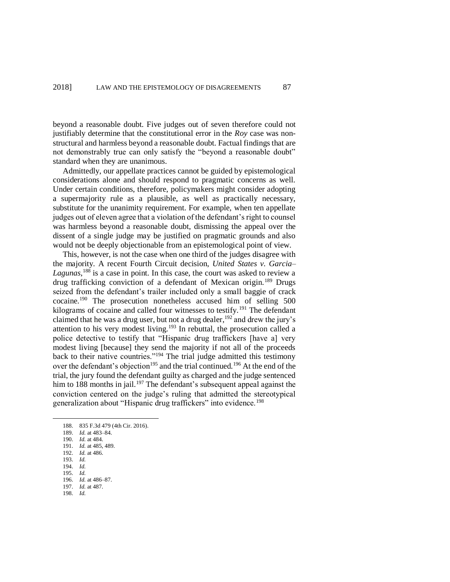beyond a reasonable doubt. Five judges out of seven therefore could not justifiably determine that the constitutional error in the *Roy* case was nonstructural and harmless beyond a reasonable doubt. Factual findings that are not demonstrably true can only satisfy the "beyond a reasonable doubt" standard when they are unanimous.

Admittedly, our appellate practices cannot be guided by epistemological considerations alone and should respond to pragmatic concerns as well. Under certain conditions, therefore, policymakers might consider adopting a supermajority rule as a plausible, as well as practically necessary, substitute for the unanimity requirement. For example, when ten appellate judges out of eleven agree that a violation of the defendant's right to counsel was harmless beyond a reasonable doubt, dismissing the appeal over the dissent of a single judge may be justified on pragmatic grounds and also would not be deeply objectionable from an epistemological point of view.

This, however, is not the case when one third of the judges disagree with the majority. A recent Fourth Circuit decision, *United States v. Garcia– Lagunas*, <sup>188</sup> is a case in point. In this case, the court was asked to review a drug trafficking conviction of a defendant of Mexican origin.<sup>189</sup> Drugs seized from the defendant's trailer included only a small baggie of crack cocaine.<sup>190</sup> The prosecution nonetheless accused him of selling 500 kilograms of cocaine and called four witnesses to testify.<sup>191</sup> The defendant claimed that he was a drug user, but not a drug dealer,  $192$  and drew the jury's attention to his very modest living.<sup>193</sup> In rebuttal, the prosecution called a police detective to testify that "Hispanic drug traffickers [have a] very modest living [because] they send the majority if not all of the proceeds back to their native countries."<sup>194</sup> The trial judge admitted this testimony over the defendant's objection<sup>195</sup> and the trial continued.<sup>196</sup> At the end of the trial, the jury found the defendant guilty as charged and the judge sentenced him to 188 months in jail.<sup>197</sup> The defendant's subsequent appeal against the conviction centered on the judge's ruling that admitted the stereotypical generalization about "Hispanic drug traffickers" into evidence.<sup>198</sup>

l

198. *Id.*

<sup>188.</sup> 835 F.3d 479 (4th Cir. 2016).

<sup>189.</sup> *Id.* at 483–84.

<sup>190.</sup> *Id.* at 484.

<sup>191.</sup> *Id.* at 485, 489.

<sup>192.</sup> *Id.* at 486.

<sup>193.</sup> *Id.*

<sup>194.</sup> *Id.* 195. *Id.*

<sup>196.</sup> *Id.* at 486–87.

<sup>197.</sup> *Id.* at 487.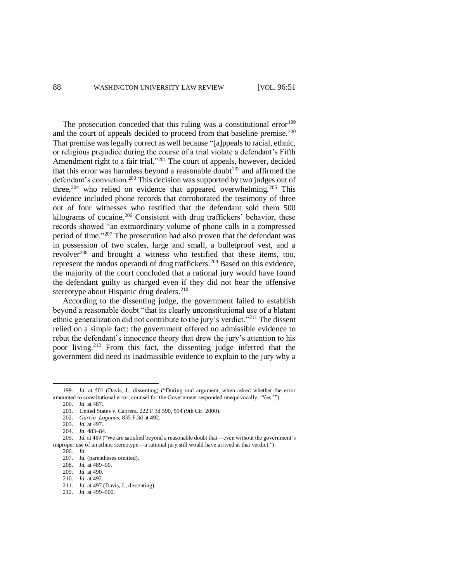The prosecution conceded that this ruling was a constitutional error<sup>199</sup> and the court of appeals decided to proceed from that baseline premise.<sup>200</sup> That premise was legally correct as well because "[a]ppeals to racial, ethnic, or religious prejudice during the course of a trial violate a defendant's Fifth Amendment right to a fair trial."<sup>201</sup> The court of appeals, however, decided that this error was harmless beyond a reasonable doubt<sup>202</sup> and affirmed the defendant's conviction.<sup>203</sup> This decision was supported by two judges out of three,<sup>204</sup> who relied on evidence that appeared overwhelming.<sup>205</sup> This evidence included phone records that corroborated the testimony of three out of four witnesses who testified that the defendant sold them 500 kilograms of cocaine.<sup>206</sup> Consistent with drug traffickers' behavior, these records showed "an extraordinary volume of phone calls in a compressed period of time."<sup>207</sup> The prosecution had also proven that the defendant was in possession of two scales, large and small, a bulletproof vest, and a revolver<sup>208</sup> and brought a witness who testified that these items, too, represent the modus operandi of drug traffickers.<sup>209</sup> Based on this evidence, the majority of the court concluded that a rational jury would have found the defendant guilty as charged even if they did not hear the offensive stereotype about Hispanic drug dealers.<sup>210</sup>

According to the dissenting judge, the government failed to establish beyond a reasonable doubt "that its clearly unconstitutional use of a blatant ethnic generalization did not contribute to the jury's verdict."<sup>211</sup> The dissent relied on a simple fact: the government offered no admissible evidence to rebut the defendant's innocence theory that drew the jury's attention to his poor living.<sup>212</sup> From this fact, the dissenting judge inferred that the government did need its inadmissible evidence to explain to the jury why a

 $\overline{\phantom{a}}$ 

<sup>199.</sup> *Id.* at 501 (Davis, J., dissenting) ("During oral argument, when asked whether the error amounted to constitutional error, counsel for the Government responded unequivocally, 'Yes.'").

<sup>200.</sup> *Id.* at 487.

<sup>201.</sup> United States v. Cabrera, 222 F.3d 590, 594 (9th Cir. 2000).

<sup>202.</sup> *Garcia–Lagunas*, 835 F.3d at 492.

<sup>203.</sup> *Id.* at 497.

<sup>204.</sup> *Id.* 483–84.

<sup>205.</sup> *Id.* at 489 ("We are satisfied beyond a reasonable doubt that—even without the government's improper use of an ethnic stereotype—a rational jury still would have arrived at that verdict.").

<sup>206.</sup> *Id.*

<sup>207.</sup> *Id.* (parentheses omitted).

<sup>208.</sup> *Id.* at 489–90.

<sup>209.</sup> *Id.* at 490. 210. *Id.* at 492.

<sup>211.</sup> *Id.* at 497 (Davis, J., dissenting).

<sup>212.</sup> *Id.* at 499–500.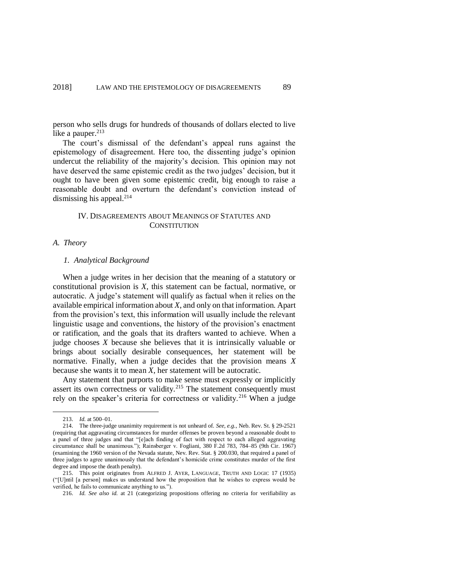person who sells drugs for hundreds of thousands of dollars elected to live like a pauper. $213$ 

The court's dismissal of the defendant's appeal runs against the epistemology of disagreement. Here too, the dissenting judge's opinion undercut the reliability of the majority's decision. This opinion may not have deserved the same epistemic credit as the two judges' decision, but it ought to have been given some epistemic credit, big enough to raise a reasonable doubt and overturn the defendant's conviction instead of dismissing his appeal. $214$ 

## IV. DISAGREEMENTS ABOUT MEANINGS OF STATUTES AND **CONSTITUTION**

### *A. Theory*

## *1. Analytical Background*

When a judge writes in her decision that the meaning of a statutory or constitutional provision is *X*, this statement can be factual, normative, or autocratic. A judge's statement will qualify as factual when it relies on the available empirical information about *X*, and only on that information. Apart from the provision's text, this information will usually include the relevant linguistic usage and conventions, the history of the provision's enactment or ratification, and the goals that its drafters wanted to achieve. When a judge chooses *X* because she believes that it is intrinsically valuable or brings about socially desirable consequences, her statement will be normative. Finally, when a judge decides that the provision means *X* because she wants it to mean *X*, her statement will be autocratic.

Any statement that purports to make sense must expressly or implicitly assert its own correctness or validity.<sup>215</sup> The statement consequently must rely on the speaker's criteria for correctness or validity.<sup>216</sup> When a judge

<sup>213.</sup> *Id.* at 500–01.

<sup>214.</sup> The three-judge unanimity requirement is not unheard of. *See, e.g.*, Neb. Rev. St. § 29-2521 (requiring that aggravating circumstances for murder offenses be proven beyond a reasonable doubt to a panel of three judges and that "[e]ach finding of fact with respect to each alleged aggravating circumstance shall be unanimous."); Rainsberger v. Fogliani, 380 F.2d 783, 784–85 (9th Cir. 1967) (examining the 1960 version of the Nevada statute, Nev. Rev. Stat. § 200.030, that required a panel of three judges to agree unanimously that the defendant's homicide crime constitutes murder of the first degree and impose the death penalty).

<sup>215.</sup> This point originates from ALFRED J. AYER, LANGUAGE, TRUTH AND LOGIC 17 (1935) ("[U]ntil [a person] makes us understand how the proposition that he wishes to express would be verified, he fails to communicate anything to us.").

<sup>216.</sup> *Id. See also id.* at 21 (categorizing propositions offering no criteria for verifiability as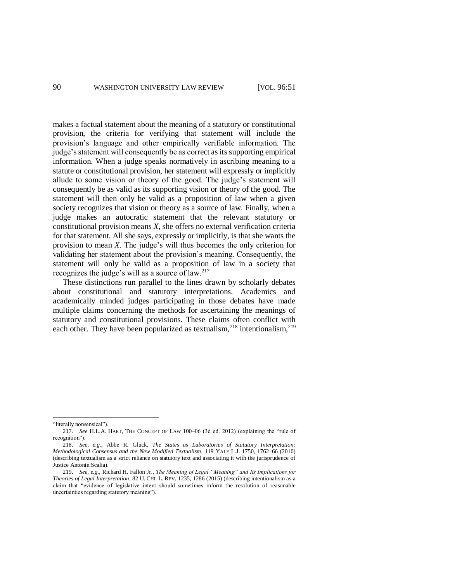makes a factual statement about the meaning of a statutory or constitutional provision, the criteria for verifying that statement will include the provision's language and other empirically verifiable information. The judge's statement will consequently be as correct as its supporting empirical information. When a judge speaks normatively in ascribing meaning to a statute or constitutional provision, her statement will expressly or implicitly allude to some vision or theory of the good. The judge's statement will consequently be as valid as its supporting vision or theory of the good. The statement will then only be valid as a proposition of law when a given society recognizes that vision or theory as a source of law. Finally, when a judge makes an autocratic statement that the relevant statutory or constitutional provision means *X*, she offers no external verification criteria for that statement. All she says, expressly or implicitly, is that she wants the provision to mean *X*. The judge's will thus becomes the only criterion for validating her statement about the provision's meaning. Consequently, the statement will only be valid as a proposition of law in a society that recognizes the judge's will as a source of law.<sup>217</sup>

<span id="page-39-1"></span><span id="page-39-0"></span>These distinctions run parallel to the lines drawn by scholarly debates about constitutional and statutory interpretations. Academics and academically minded judges participating in those debates have made multiple claims concerning the methods for ascertaining the meanings of statutory and constitutional provisions. These claims often conflict with each other. They have been popularized as textualism,  $218$  intentionalism,  $219$ 

<sup>&</sup>quot;literally nonsensical").

<sup>217.</sup> *See* H.L.A. HART, THE CONCEPT OF LAW 100–06 (3d ed. 2012) (explaining the "rule of recognition").

<sup>218.</sup> *See, e.g.*, Abbe R. Gluck, *The States as Laboratories of Statutory Interpretation: Methodological Consensus and the New Modified Textualism*, 119 YALE L.J. 1750, 1762–66 (2010) (describing textualism as a strict reliance on statutory text and associating it with the jurisprudence of Justice Antonin Scalia).

<sup>219.</sup> *See, e.g.*, Richard H. Fallon Jr., *The Meaning of Legal "Meaning" and Its Implications for Theories of Legal Interpretation*, 82 U. CHI. L. REV. 1235, 1286 (2015) (describing intentionalism as a claim that "evidence of legislative intent should sometimes inform the resolution of reasonable uncertainties regarding statutory meaning").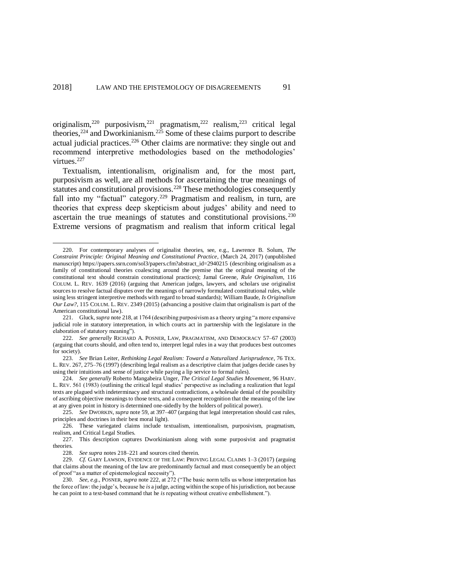<span id="page-40-2"></span><span id="page-40-1"></span><span id="page-40-0"></span>originalism,<sup>220</sup> purposivism,<sup>221</sup> pragmatism,<sup>222</sup> realism,<sup>223</sup> critical legal theories,  $^{224}$  and Dworkinianism.  $^{225}$  Some of these claims purport to describe actual judicial practices.<sup>226</sup> Other claims are normative: they single out and recommend interpretive methodologies based on the methodologies' virtues.<sup>227</sup>

Textualism, intentionalism, originalism and, for the most part, purposivism as well, are all methods for ascertaining the true meanings of statutes and constitutional provisions.<sup>228</sup> These methodologies consequently fall into my "factual" category.<sup>229</sup> Pragmatism and realism, in turn, are theories that express deep skepticism about judges' ability and need to ascertain the true meanings of statutes and constitutional provisions.<sup>230</sup> Extreme versions of pragmatism and realism that inform critical legal

<sup>220.</sup> For contemporary analyses of originalist theories, see, e.g., Lawrence B. Solum, *The Constraint Principle: Original Meaning and Constitutional Practice*, (March 24, 2017) (unpublished manuscript) https://papers.ssrn.com/sol3/papers.cfm?abstract\_id=2940215 (describing originalism as a family of constitutional theories coalescing around the premise that the original meaning of the constitutional text should constrain constitutional practices); Jamal Greene, *Rule Originalism*, 116 COLUM. L. REV. 1639 (2016) (arguing that American judges, lawyers, and scholars use originalist sources to resolve factual disputes over the meanings of narrowly formulated constitutional rules, while using less stringent interpretive methods with regard to broad standards); William Baude, *Is Originalism Our Law?*, 115 COLUM. L. REV. 2349 (2015) (advancing a positive claim that originalism is part of the American constitutional law).

<sup>221.</sup> Gluck, *supra* not[e 218,](#page-39-0) at 1764 (describing purposivism as a theory urging "a more expansive judicial role in statutory interpretation, in which courts act in partnership with the legislature in the elaboration of statutory meaning").

<sup>222.</sup> *See generally* RICHARD A. POSNER, LAW, PRAGMATISM, AND DEMOCRACY 57–67 (2003) (arguing that courts should, and often tend to, interpret legal rules in a way that produces best outcomes for society).

<sup>223.</sup> *See* Brian Leiter, *Rethinking Legal Realism: Toward a Naturalized Jurisprudence*, 76 TEX. L. REV. 267, 275–76 (1997) (describing legal realism as a descriptive claim that judges decide cases by using their intuitions and sense of justice while paying a lip service to formal rules).

<sup>224.</sup> *See generally* Roberto Mangabeira Unger, *The Critical Legal Studies Movement*, 96 HARV. L. REV. 561 (1983) (outlining the critical legal studies' perspective as including a realization that legal texts are plagued with indeterminacy and structural contradictions, a wholesale denial of the possibility of ascribing objective meanings to those texts, and a consequent recognition that the meaning of the law at any given point in history is determined one-sidedly by the holders of political power).

<sup>225.</sup> *See* DWORKIN, *supra* note [59,](#page-14-0) at 397–407 (arguing that legal interpretation should cast rules, principles and doctrines in their best moral light).

<sup>226.</sup> These variegated claims include textualism, intentionalism, purposivism, pragmatism, realism, and Critical Legal Studies.

<sup>227.</sup> This description captures Dworkinianism along with some purposivist and pragmatist theories.

<sup>228.</sup> *See supra* note[s 218](#page-39-0)[–221](#page-40-0) and sources cited therein.

<sup>229.</sup> *Cf.* GARY LAWSON, EVIDENCE OF THE LAW: PROVING LEGAL CLAIMS 1–3 (2017) (arguing that claims about the meaning of the law are predominantly factual and must consequently be an object of proof "as a matter of epistemological necessity").

<sup>230.</sup> *See, e.g.*, POSNER, *supra* not[e 222,](#page-40-1) at 272 ("The basic norm tells us whose interpretation has the force of law: the judge's, because he *is* a judge, acting within the scope of his jurisdiction, not because he can point to a text-based command that he *is* repeating without creative embellishment.").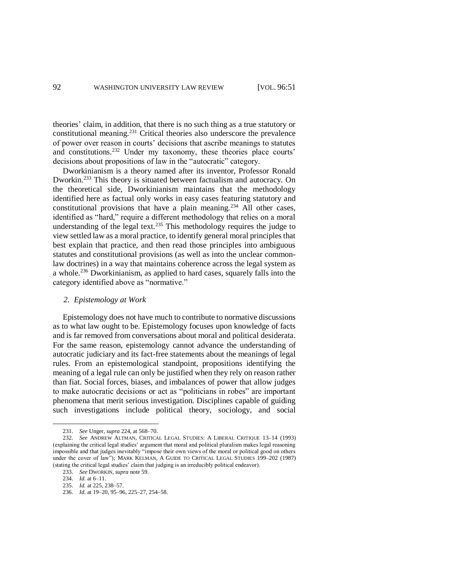theories' claim, in addition, that there is no such thing as a true statutory or constitutional meaning.<sup>231</sup> Critical theories also underscore the prevalence of power over reason in courts' decisions that ascribe meanings to statutes and constitutions.<sup>232</sup> Under my taxonomy, these theories place courts' decisions about propositions of law in the "autocratic" category.

Dworkinianism is a theory named after its inventor, Professor Ronald Dworkin.<sup>233</sup> This theory is situated between factualism and autocracy. On the theoretical side, Dworkinianism maintains that the methodology identified here as factual only works in easy cases featuring statutory and constitutional provisions that have a plain meaning.<sup>234</sup> All other cases, identified as "hard," require a different methodology that relies on a moral understanding of the legal text.<sup>235</sup> This methodology requires the judge to view settled law as a moral practice, to identify general moral principles that best explain that practice, and then read those principles into ambiguous statutes and constitutional provisions (as well as into the unclear commonlaw doctrines) in a way that maintains coherence across the legal system as a whole.<sup>236</sup> Dworkinianism, as applied to hard cases, squarely falls into the category identified above as "normative."

## *2. Epistemology at Work*

Epistemology does not have much to contribute to normative discussions as to what law ought to be. Epistemology focuses upon knowledge of facts and is far removed from conversations about moral and political desiderata. For the same reason, epistemology cannot advance the understanding of autocratic judiciary and its fact-free statements about the meanings of legal rules. From an epistemological standpoint, propositions identifying the meaning of a legal rule can only be justified when they rely on reason rather than fiat. Social forces, biases, and imbalances of power that allow judges to make autocratic decisions or act as "politicians in robes" are important phenomena that merit serious investigation. Disciplines capable of guiding such investigations include political theory, sociology, and social

<sup>231.</sup> *See* Unger, *supra* [224,](#page-40-2) at 568–70.

<sup>232.</sup> *See* ANDREW ALTMAN, CRITICAL LEGAL STUDIES: A LIBERAL CRITIQUE 13–14 (1993) (explaining the critical legal studies' argument that moral and political pluralism makes legal reasoning impossible and that judges inevitably "impose their own views of the moral or political good on others under the cover of law"); MARK KELMAN, A GUIDE TO CRITICAL LEGAL STUDIES 199–202 (1987) (stating the critical legal studies' claim that judging is an irreducibly political endeavor).

<sup>233.</sup> *See* DWORKIN, *supra* note [59.](#page-14-0)

<sup>234.</sup> *Id.* at 6–11.

<sup>235.</sup> *Id.* at 225, 238–57.

<sup>236.</sup> *Id.* at 19–20, 95–96, 225–27, 254–58.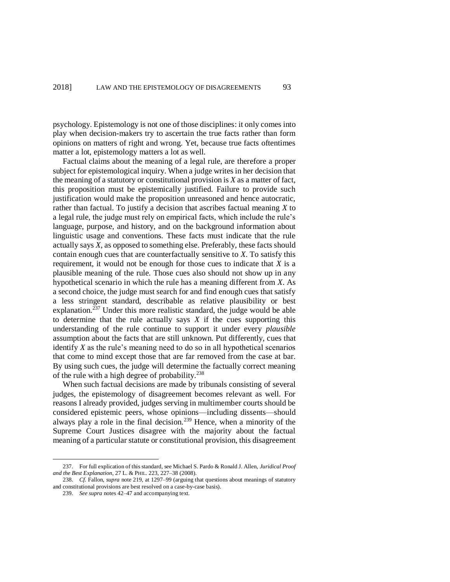psychology. Epistemology is not one of those disciplines: it only comes into play when decision-makers try to ascertain the true facts rather than form opinions on matters of right and wrong. Yet, because true facts oftentimes matter a lot, epistemology matters a lot as well.

Factual claims about the meaning of a legal rule, are therefore a proper subject for epistemological inquiry. When a judge writes in her decision that the meaning of a statutory or constitutional provision is *X* as a matter of fact, this proposition must be epistemically justified. Failure to provide such justification would make the proposition unreasoned and hence autocratic, rather than factual. To justify a decision that ascribes factual meaning *X* to a legal rule, the judge must rely on empirical facts, which include the rule's language, purpose, and history, and on the background information about linguistic usage and conventions. These facts must indicate that the rule actually says *X*, as opposed to something else. Preferably, these facts should contain enough cues that are counterfactually sensitive to *X*. To satisfy this requirement, it would not be enough for those cues to indicate that *X* is a plausible meaning of the rule. Those cues also should not show up in any hypothetical scenario in which the rule has a meaning different from *X*. As a second choice, the judge must search for and find enough cues that satisfy a less stringent standard, describable as relative plausibility or best explanation.<sup> $\bar{2}37$ </sup> Under this more realistic standard, the judge would be able to determine that the rule actually says  $X$  if the cues supporting this understanding of the rule continue to support it under every *plausible* assumption about the facts that are still unknown. Put differently, cues that identify *X* as the rule's meaning need to do so in all hypothetical scenarios that come to mind except those that are far removed from the case at bar. By using such cues, the judge will determine the factually correct meaning of the rule with a high degree of probability. $238$ 

When such factual decisions are made by tribunals consisting of several judges, the epistemology of disagreement becomes relevant as well. For reasons I already provided, judges serving in multimember courts should be considered epistemic peers, whose opinions—including dissents—should always play a role in the final decision.<sup>239</sup> Hence, when a minority of the Supreme Court Justices disagree with the majority about the factual meaning of a particular statute or constitutional provision, this disagreement

<sup>237.</sup> For full explication of this standard, see Michael S. Pardo & Ronald J. Allen, *Juridical Proof and the Best Explanation*, 27 L. & PHIL. 223, 227–38 (2008).

<sup>238.</sup> *Cf.* Fallon, *supra* note [219,](#page-39-1) at 1297–99 (arguing that questions about meanings of statutory and constitutional provisions are best resolved on a case-by-case basis).

<sup>239.</sup> *See supra* note[s 42](#page-11-1)[–47](#page-11-2) and accompanying text.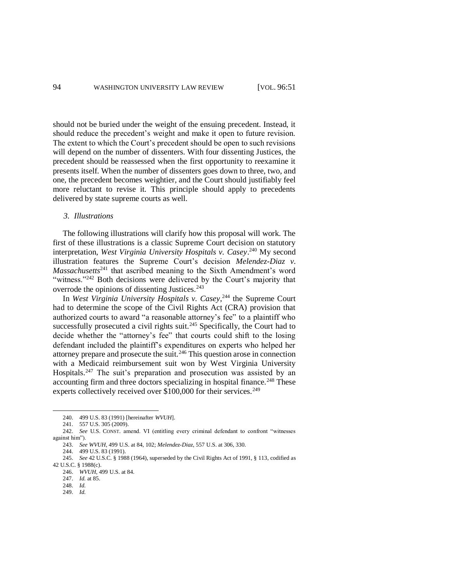should not be buried under the weight of the ensuing precedent. Instead, it should reduce the precedent's weight and make it open to future revision. The extent to which the Court's precedent should be open to such revisions will depend on the number of dissenters. With four dissenting Justices, the precedent should be reassessed when the first opportunity to reexamine it presents itself. When the number of dissenters goes down to three, two, and one, the precedent becomes weightier, and the Court should justifiably feel more reluctant to revise it. This principle should apply to precedents delivered by state supreme courts as well.

## *3. Illustrations*

The following illustrations will clarify how this proposal will work. The first of these illustrations is a classic Supreme Court decision on statutory interpretation, *West Virginia University Hospitals v. Casey*. <sup>240</sup> My second illustration features the Supreme Court's decision *Melendez-Diaz v. Massachusetts*<sup>241</sup> that ascribed meaning to the Sixth Amendment's word "witness."<sup>242</sup> Both decisions were delivered by the Court's majority that overrode the opinions of dissenting Justices.<sup>243</sup>

In *West Virginia University Hospitals v. Casey*, <sup>244</sup> the Supreme Court had to determine the scope of the Civil Rights Act (CRA) provision that authorized courts to award "a reasonable attorney's fee" to a plaintiff who successfully prosecuted a civil rights suit.<sup>245</sup> Specifically, the Court had to decide whether the "attorney's fee" that courts could shift to the losing defendant included the plaintiff's expenditures on experts who helped her attorney prepare and prosecute the suit.<sup>246</sup> This question arose in connection with a Medicaid reimbursement suit won by West Virginia University Hospitals.<sup>247</sup> The suit's preparation and prosecution was assisted by an accounting firm and three doctors specializing in hospital finance.<sup>248</sup> These experts collectively received over  $$100,000$  for their services.<sup>249</sup>

 $\overline{\phantom{a}}$ 

<sup>240.</sup> 499 U.S. 83 (1991) [hereinafter *WVUH*].

<sup>241.</sup> 557 U.S. 305 (2009).

<sup>242.</sup> *See* U.S. CONST. amend. VI (entitling every criminal defendant to confront "witnesses against him").

<sup>243.</sup> *See WVUH*, 499 U.S. at 84, 102; *Melendez-Diaz*, 557 U.S. at 306, 330.

<sup>244.</sup> 499 U.S. 83 (1991).

<sup>245.</sup> *See* 42 U.S.C. § 1988 (1964), superseded by the Civil Rights Act of 1991, § 113, codified as 42 U.S.C. § 1988(c).

<sup>246.</sup> *WVUH*, 499 U.S. at 84.

<sup>247.</sup> *Id.* at 85.

<sup>248.</sup> *Id.*

<sup>249.</sup> *Id.*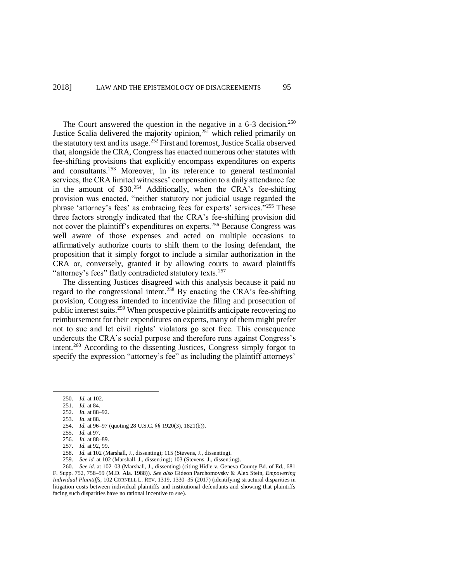The Court answered the question in the negative in a  $6-3$  decision.<sup>250</sup> Justice Scalia delivered the majority opinion,<sup>251</sup> which relied primarily on the statutory text and its usage.<sup>252</sup> First and foremost, Justice Scalia observed that, alongside the CRA, Congress has enacted numerous other statutes with fee-shifting provisions that explicitly encompass expenditures on experts and consultants.<sup>253</sup> Moreover, in its reference to general testimonial services, the CRA limited witnesses' compensation to a daily attendance fee in the amount of  $$30.^{254}$  Additionally, when the CRA's fee-shifting provision was enacted, "neither statutory nor judicial usage regarded the phrase 'attorney's fees' as embracing fees for experts' services."<sup>255</sup> These three factors strongly indicated that the CRA's fee-shifting provision did not cover the plaintiff's expenditures on experts.<sup>256</sup> Because Congress was well aware of those expenses and acted on multiple occasions to affirmatively authorize courts to shift them to the losing defendant, the proposition that it simply forgot to include a similar authorization in the CRA or, conversely, granted it by allowing courts to award plaintiffs "attorney's fees" flatly contradicted statutory texts.<sup>257</sup>

The dissenting Justices disagreed with this analysis because it paid no regard to the congressional intent.<sup>258</sup> By enacting the CRA's fee-shifting provision, Congress intended to incentivize the filing and prosecution of public interest suits.<sup>259</sup> When prospective plaintiffs anticipate recovering no reimbursement for their expenditures on experts, many of them might prefer not to sue and let civil rights' violators go scot free. This consequence undercuts the CRA's social purpose and therefore runs against Congress's intent.<sup>260</sup> According to the dissenting Justices, Congress simply forgot to specify the expression "attorney's fee" as including the plaintiff attorneys'

- 252. *Id.* at 88–92.
- 253. *Id.* at 88.

<sup>250.</sup> *Id.* at 102.

<sup>251.</sup> *Id.* at 84.

<sup>254.</sup> *Id.* at 96–97 (quoting 28 U.S.C. §§ 1920(3), 1821(b)).

<sup>255.</sup> *Id.* at 97.

<sup>256.</sup> *Id.* at 88–89.

<sup>257.</sup> *Id.* at 92, 99.

<sup>258.</sup> *Id.* at 102 (Marshall, J., dissenting); 115 (Stevens, J., dissenting).

<sup>259.</sup> *See id.* at 102 (Marshall, J., dissenting); 103 (Stevens, J., dissenting).

<sup>260.</sup> *See id.* at 102–03 (Marshall, J., dissenting) (citing Hidle v. Geneva County Bd. of Ed., 681 F. Supp. 752, 758–59 (M.D. Ala. 1988)). *See also* Gideon Parchomovsky & Alex Stein, *Empowering Individual Plaintiffs*, 102 CORNELL L. REV. 1319, 1330–35 (2017) (identifying structural disparities in litigation costs between individual plaintiffs and institutional defendants and showing that plaintiffs facing such disparities have no rational incentive to sue).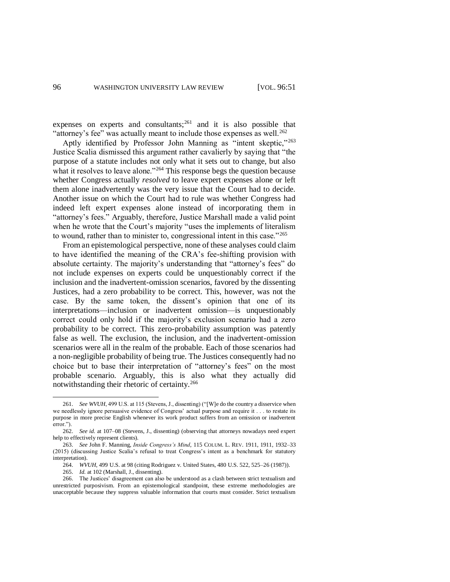expenses on experts and consultants; $^{261}$  and it is also possible that "attorney's fee" was actually meant to include those expenses as well.<sup>262</sup>

Aptly identified by Professor John Manning as "intent skeptic,"<sup>263</sup> Justice Scalia dismissed this argument rather cavalierly by saying that "the purpose of a statute includes not only what it sets out to change, but also what it resolves to leave alone."<sup>264</sup> This response begs the question because whether Congress actually *resolved* to leave expert expenses alone or left them alone inadvertently was the very issue that the Court had to decide. Another issue on which the Court had to rule was whether Congress had indeed left expert expenses alone instead of incorporating them in "attorney's fees." Arguably, therefore, Justice Marshall made a valid point when he wrote that the Court's majority "uses the implements of literalism to wound, rather than to minister to, congressional intent in this case."<sup>265</sup>

From an epistemological perspective, none of these analyses could claim to have identified the meaning of the CRA's fee-shifting provision with absolute certainty. The majority's understanding that "attorney's fees" do not include expenses on experts could be unquestionably correct if the inclusion and the inadvertent-omission scenarios, favored by the dissenting Justices, had a zero probability to be correct. This, however, was not the case. By the same token, the dissent's opinion that one of its interpretations—inclusion or inadvertent omission—is unquestionably correct could only hold if the majority's exclusion scenario had a zero probability to be correct. This zero-probability assumption was patently false as well. The exclusion, the inclusion, and the inadvertent-omission scenarios were all in the realm of the probable. Each of those scenarios had a non-negligible probability of being true. The Justices consequently had no choice but to base their interpretation of "attorney's fees" on the most probable scenario. Arguably, this is also what they actually did notwithstanding their rhetoric of certainty.<sup>266</sup>

<sup>261.</sup> *See WVUH*, 499 U.S. at 115 (Stevens, J., dissenting) ("[W]e do the country a disservice when we needlessly ignore persuasive evidence of Congress' actual purpose and require it . . . to restate its purpose in more precise English whenever its work product suffers from an omission or inadvertent error.").

<sup>262.</sup> *See id.* at 107–08 (Stevens, J., dissenting) (observing that attorneys nowadays need expert help to effectively represent clients).

<sup>263.</sup> *See* John F. Manning, *Inside Congress's Mind*, 115 COLUM. L. REV. 1911, 1911, 1932–33 (2015) (discussing Justice Scalia's refusal to treat Congress's intent as a benchmark for statutory interpretation).

<sup>264.</sup> *WVUH*, 499 U.S. at 98 (citing Rodriguez v. United States, 480 U.S. 522, 525–26 (1987)).

<sup>265.</sup> *Id.* at 102 (Marshall, J., dissenting).

<sup>266.</sup> The Justices' disagreement can also be understood as a clash between strict textualism and unrestricted purposivism. From an epistemological standpoint, these extreme methodologies are unacceptable because they suppress valuable information that courts must consider. Strict textualism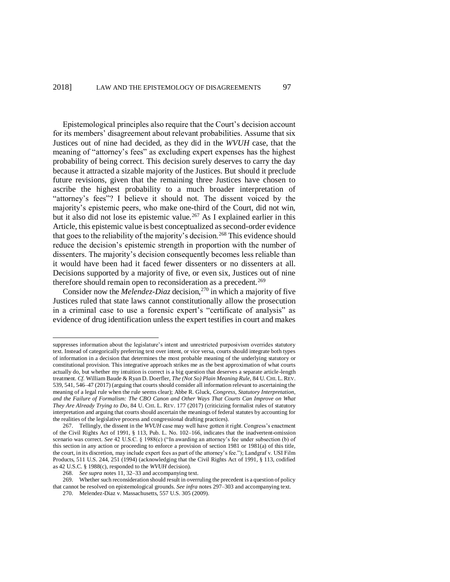Epistemological principles also require that the Court's decision account for its members' disagreement about relevant probabilities. Assume that six Justices out of nine had decided, as they did in the *WVUH* case, that the meaning of "attorney's fees" as excluding expert expenses has the highest probability of being correct. This decision surely deserves to carry the day because it attracted a sizable majority of the Justices. But should it preclude future revisions, given that the remaining three Justices have chosen to ascribe the highest probability to a much broader interpretation of "attorney's fees"? I believe it should not. The dissent voiced by the majority's epistemic peers, who make one-third of the Court, did not win, but it also did not lose its epistemic value.<sup>267</sup> As I explained earlier in this Article, this epistemic value is best conceptualized as second-order evidence that goes to the reliability of the majority's decision.<sup>268</sup> This evidence should reduce the decision's epistemic strength in proportion with the number of dissenters. The majority's decision consequently becomes less reliable than it would have been had it faced fewer dissenters or no dissenters at all. Decisions supported by a majority of five, or even six, Justices out of nine therefore should remain open to reconsideration as a precedent.<sup>269</sup>

Consider now the *Melendez-Diaz* decision,<sup>270</sup> in which a majority of five Justices ruled that state laws cannot constitutionally allow the prosecution in a criminal case to use a forensic expert's "certificate of analysis" as evidence of drug identification unless the expert testifies in court and makes

suppresses information about the legislature's intent and unrestricted purposivism overrides statutory text. Instead of categorically preferring text over intent, or vice versa, courts should integrate both types of information in a decision that determines the most probable meaning of the underlying statutory or constitutional provision. This integrative approach strikes me as the best approximation of what courts actually do, but whether my intuition is correct is a big question that deserves a separate article-length treatment. *Cf.* William Baude & Ryan D. Doerfler, *The (Not So) Plain Meaning Rule*, 84 U. CHI. L. REV. 539, 541, 546–47 (2017) (arguing that courts should consider all information relevant to ascertaining the meaning of a legal rule when the rule seems clear); Abbe R. Gluck, *Congress, Statutory Interpretation, and the Failure of Formalism: The CBO Canon and Other Ways That Courts Can Improve on What They Are Already Trying to Do*, 84 U. CHI. L. REV. 177 (2017) (criticizing formalist rules of statutory interpretation and arguing that courts should ascertain the meanings of federal statutes by accounting for the realities of the legislative process and congressional drafting practices).

<sup>267.</sup> Tellingly, the dissent in the *WVUH* case may well have gotten it right. Congress's enactment of the Civil Rights Act of 1991, § 113, Pub. L. No. 102–166, indicates that the inadvertent-omission scenario was correct. *See* 42 U.S.C. § 1988(c) ("In awarding an attorney's fee under subsection (b) of this section in any action or proceeding to enforce a provision of section 1981 or 1981(a) of this title, the court, in its discretion, may include expert fees as part of the attorney's fee."); Landgraf v. USI Film Products, 511 U.S. 244, 251 (1994) (acknowledging that the Civil Rights Act of 1991, § 113, codified as 42 U.S.C. § 1988(c), responded to the *WVUH* decision).

<sup>268.</sup> *See supra* note[s 11,](#page-4-1) [32](#page-9-0)[–33](#page-9-1) and accompanying text.

<sup>269.</sup> Whether such reconsideration should result in overruling the precedent is a question of policy that cannot be resolved on epistemological grounds. *See infra* notes [297–](#page-50-0)[303](#page-51-0) and accompanying text.

<sup>270.</sup> Melendez-Diaz v. Massachusetts, 557 U.S. 305 (2009).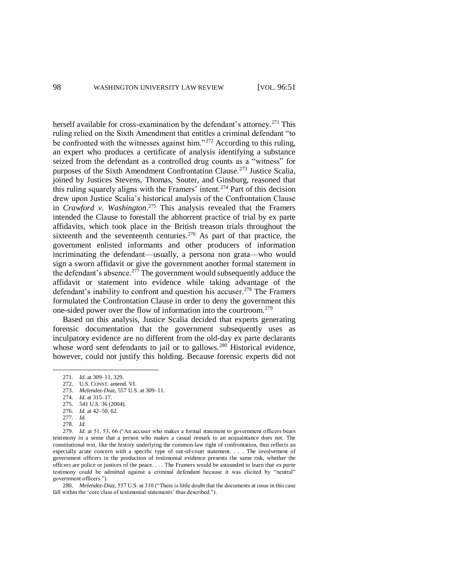herself available for cross-examination by the defendant's attorney.<sup>271</sup> This ruling relied on the Sixth Amendment that entitles a criminal defendant "to be confronted with the witnesses against him."<sup>272</sup> According to this ruling, an expert who produces a certificate of analysis identifying a substance seized from the defendant as a controlled drug counts as a "witness" for purposes of the Sixth Amendment Confrontation Clause.<sup>273</sup> Justice Scalia, joined by Justices Stevens, Thomas, Souter, and Ginsburg, reasoned that this ruling squarely aligns with the Framers' intent.<sup>274</sup> Part of this decision drew upon Justice Scalia's historical analysis of the Confrontation Clause in *Crawford v. Washington*. <sup>275</sup> This analysis revealed that the Framers intended the Clause to forestall the abhorrent practice of trial by ex parte affidavits, which took place in the British treason trials throughout the sixteenth and the seventeenth centuries.<sup>276</sup> As part of that practice, the government enlisted informants and other producers of information incriminating the defendant—usually, a persona non grata—who would sign a sworn affidavit or give the government another formal statement in the defendant's absence.<sup>277</sup> The government would subsequently adduce the affidavit or statement into evidence while taking advantage of the defendant's inability to confront and question his accuser.<sup>278</sup> The Framers formulated the Confrontation Clause in order to deny the government this one-sided power over the flow of information into the courtroom.<sup>279</sup>

Based on this analysis, Justice Scalia decided that experts generating forensic documentation that the government subsequently uses as inculpatory evidence are no different from the old-day ex parte declarants whose word sent defendants to jail or to gallows.<sup>280</sup> Historical evidence, however, could not justify this holding. Because forensic experts did not

l

279. *Id.* at 51, 53, 66 ("An accuser who makes a formal statement to government officers bears testimony in a sense that a person who makes a casual remark to an acquaintance does not. The constitutional text, like the history underlying the common-law right of confrontation, thus reflects an especially acute concern with a specific type of out-of-court statement. . . . The involvement of government officers in the production of testimonial evidence presents the same risk, whether the officers are police or justices of the peace. . . . The Framers would be astounded to learn that *ex parte* testimony could be admitted against a criminal defendant because it was elicited by "neutral" government officers.").

280. *Melendez-Diaz*, 557 U.S. at 310 ("There is little doubt that the documents at issue in this case fall within the 'core class of testimonial statements' thus described.").

<sup>271.</sup> *Id.* at 309–11, 329.

<sup>272.</sup> U.S. CONST. amend. VI.

<sup>273.</sup> *Melendez-Diaz*, 557 U.S. at 309–11.

<sup>274.</sup> *Id.* at 315–17.

<sup>275.</sup> 541 U.S. 36 (2004).

<sup>276.</sup> *Id.* at 42–50, 62. 277. *Id.*

<sup>278.</sup> *Id.*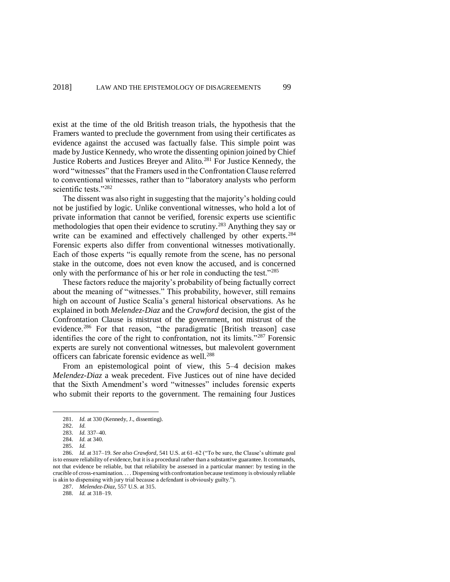exist at the time of the old British treason trials, the hypothesis that the Framers wanted to preclude the government from using their certificates as evidence against the accused was factually false. This simple point was made by Justice Kennedy, who wrote the dissenting opinion joined by Chief Justice Roberts and Justices Breyer and Alito.<sup>281</sup> For Justice Kennedy, the word "witnesses" that the Framers used in the Confrontation Clause referred to conventional witnesses, rather than to "laboratory analysts who perform scientific tests."<sup>282</sup>

The dissent was also right in suggesting that the majority's holding could not be justified by logic. Unlike conventional witnesses, who hold a lot of private information that cannot be verified, forensic experts use scientific methodologies that open their evidence to scrutiny.<sup>283</sup> Anything they say or write can be examined and effectively challenged by other experts.<sup>284</sup> Forensic experts also differ from conventional witnesses motivationally. Each of those experts "is equally remote from the scene, has no personal stake in the outcome, does not even know the accused, and is concerned only with the performance of his or her role in conducting the test."<sup>285</sup>

These factors reduce the majority's probability of being factually correct about the meaning of "witnesses." This probability, however, still remains high on account of Justice Scalia's general historical observations. As he explained in both *Melendez-Diaz* and the *Crawford* decision, the gist of the Confrontation Clause is mistrust of the government, not mistrust of the evidence.<sup>286</sup> For that reason, "the paradigmatic [British treason] case identifies the core of the right to confrontation, not its limits."<sup>287</sup> Forensic experts are surely not conventional witnesses, but malevolent government officers can fabricate forensic evidence as well.<sup>288</sup>

From an epistemological point of view, this 5–4 decision makes *Melendez-Diaz* a weak precedent. Five Justices out of nine have decided that the Sixth Amendment's word "witnesses" includes forensic experts who submit their reports to the government. The remaining four Justices

<sup>281.</sup> *Id.* at 330 (Kennedy, J., dissenting).

<sup>282.</sup> *Id.*

<sup>283.</sup> *Id.* 337–40.

<sup>284.</sup> *Id.* at 340.

<sup>285.</sup> *Id.*

<sup>286.</sup> *Id.* at 317–19. *See also Crawford*, 541 U.S. at 61–62 ("To be sure, the Clause's ultimate goal is to ensure reliability of evidence, but it is a procedural rather than a substantive guarantee. It commands, not that evidence be reliable, but that reliability be assessed in a particular manner: by testing in the crucible of cross-examination. . . . Dispensing with confrontation because testimony is obviously reliable is akin to dispensing with jury trial because a defendant is obviously guilty.").

<sup>287.</sup> *Melendez-Diaz*, 557 U.S. at 315.

<sup>288.</sup> *Id.* at 318–19.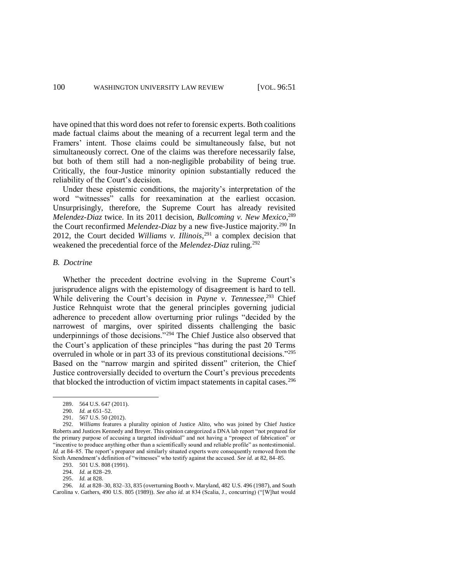have opined that this word does not refer to forensic experts. Both coalitions made factual claims about the meaning of a recurrent legal term and the Framers' intent. Those claims could be simultaneously false, but not simultaneously correct. One of the claims was therefore necessarily false, but both of them still had a non-negligible probability of being true. Critically, the four-Justice minority opinion substantially reduced the reliability of the Court's decision.

Under these epistemic conditions, the majority's interpretation of the word "witnesses" calls for reexamination at the earliest occasion. Unsurprisingly, therefore, the Supreme Court has already revisited *Melendez-Diaz* twice. In its 2011 decision, *Bullcoming v. New Mexico*, 289 the Court reconfirmed *Melendez-Diaz* by a new five-Justice majority.<sup>290</sup> In 2012, the Court decided *Williams v. Illinois*, <sup>291</sup> a complex decision that weakened the precedential force of the *Melendez-Diaz* ruling.<sup>292</sup>

## *B. Doctrine*

Whether the precedent doctrine evolving in the Supreme Court's jurisprudence aligns with the epistemology of disagreement is hard to tell. While delivering the Court's decision in *Payne v. Tennessee*, <sup>293</sup> Chief Justice Rehnquist wrote that the general principles governing judicial adherence to precedent allow overturning prior rulings "decided by the narrowest of margins, over spirited dissents challenging the basic underpinnings of those decisions."<sup>294</sup> The Chief Justice also observed that the Court's application of these principles "has during the past 20 Terms overruled in whole or in part 33 of its previous constitutional decisions."<sup>295</sup> Based on the "narrow margin and spirited dissent" criterion, the Chief Justice controversially decided to overturn the Court's previous precedents that blocked the introduction of victim impact statements in capital cases.<sup>296</sup>

l

293. 501 U.S. 808 (1991).

<sup>289.</sup> 564 U.S. 647 (2011).

<sup>290.</sup> *Id.* at 651–52.

<sup>291.</sup> 567 U.S. 50 (2012).

<sup>292.</sup> *Williams* features a plurality opinion of Justice Alito, who was joined by Chief Justice Roberts and Justices Kennedy and Breyer. This opinion categorized a DNA lab report "not prepared for the primary purpose of accusing a targeted individual" and not having a "prospect of fabrication" or "incentive to produce anything other than a scientifically sound and reliable profile" as nontestimonial*. Id.* at 84–85. The report's preparer and similarly situated experts were consequently removed from the Sixth Amendment's definition of "witnesses" who testify against the accused. *See id.* at 82, 84–85.

<sup>294.</sup> *Id.* at 828–29.

<sup>295.</sup> *Id.* at 828.

<sup>296.</sup> *Id.* at 828–30, 832–33, 835 (overturning Booth v. Maryland, 482 U.S. 496 (1987), and South Carolina v. Gathers, 490 U.S. 805 (1989)). *See also id.* at 834 (Scalia, J., concurring) ("[W]hat would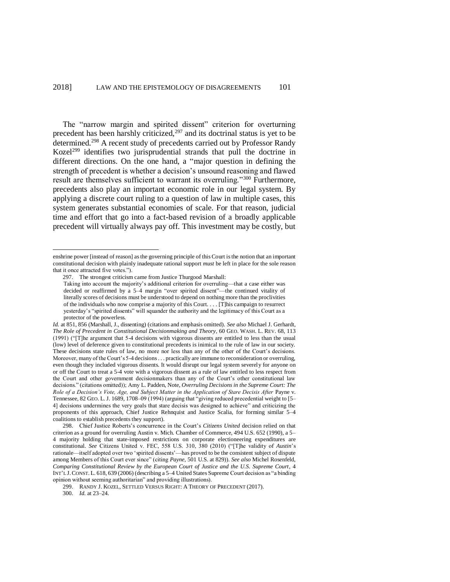<span id="page-50-1"></span><span id="page-50-0"></span>The "narrow margin and spirited dissent" criterion for overturning precedent has been harshly criticized, $297$  and its doctrinal status is yet to be determined.<sup>298</sup> A recent study of precedents carried out by Professor Randy Kozel<sup>299</sup> identifies two jurisprudential strands that pull the doctrine in different directions. On the one hand, a "major question in defining the strength of precedent is whether a decision's unsound reasoning and flawed result are themselves sufficient to warrant its overruling."<sup>300</sup> Furthermore, precedents also play an important economic role in our legal system. By applying a discrete court ruling to a question of law in multiple cases, this system generates substantial economies of scale. For that reason, judicial time and effort that go into a fact-based revision of a broadly applicable precedent will virtually always pay off. This investment may be costly, but

enshrine power [instead of reason] as the governing principle of this Court is the notion that an important constitutional decision with plainly inadequate rational support *must* be left in place for the sole reason that it once attracted five votes.").

<sup>297.</sup> The strongest criticism came from Justice Thurgood Marshall:

Taking into account the majority's additional criterion for overruling—that a case either was decided or reaffirmed by a 5–4 margin "over spirited dissent"—the continued vitality of literally scores of decisions must be understood to depend on nothing more than the proclivities of the individuals who now comprise a majority of this Court. . . . [T]his campaign to resurrect yesterday's "spirited dissents" will squander the authority and the legitimacy of this Court as a protector of the powerless.

*Id.* at 851, 856 (Marshall, J., dissenting) (citations and emphasis omitted). *See also* Michael J. Gerhardt, *The Role of Precedent in Constitutional Decisionmaking and Theory*, 60 GEO. WASH. L. REV. 68, 113 (1991) ("[T]he argument that 5-4 decisions with vigorous dissents are entitled to less than the usual (low) level of deference given to constitutional precedents is inimical to the rule of law in our society. These decisions state rules of law, no more nor less than any of the other of the Court's decisions. Moreover, many of the Court's 5-4 decisions . . . practically are immune to reconsideration or overruling, even though they included vigorous dissents. It would disrupt our legal system severely for anyone on or off the Court to treat a 5-4 vote with a vigorous dissent as a rule of law entitled to less respect from the Court and other government decisionmakers than any of the Court's other constitutional law decisions." (citations omitted)); Amy L. Padden, Note, *Overruling Decisions in the Supreme Court: The Role of a Decision's Vote, Age, and Subject Matter in the Application of Stare Decisis After* Payne v. Tennessee, 82 GEO. L.J. 1689, 1708–09 (1994) (arguing that "giving reduced precedential weight to [5– 4] decisions undermines the very goals that stare decisis was designed to achieve" and criticizing the proponents of this approach, Chief Justice Rehnquist and Justice Scalia, for forming similar 5–4 coalitions to establish precedents they support).

<sup>298.</sup> Chief Justice Roberts's concurrence in the Court's *Citizens United* decision relied on that criterion as a ground for overruling Austin v. Mich. Chamber of Commerce, 494 U.S. 652 (1990), a 5– 4 majority holding that state-imposed restrictions on corporate electioneering expenditures are constitutional. *See* Citizens United v. FEC, 558 U.S. 310, 380 (2010) ("[T]he validity of *Austin*'s rationale—itself adopted over two 'spirited dissents'—has proved to be the consistent subject of dispute among Members of this Court ever since" (citing *Payne*, 501 U.S. at 829)). *See also* Michel Rosenfeld, *Comparing Constitutional Review by the European Court of Justice and the U.S. Supreme Court*, 4 INT'L J.CONST. L. 618, 639 (2006) (describing a 5–4 United States Supreme Court decision as "a binding opinion without seeming authoritarian" and providing illustrations).

<sup>299.</sup> RANDY J. KOZEL, SETTLED VERSUS RIGHT: A THEORY OF PRECEDENT (2017).

<sup>300.</sup> *Id.* at 23–24.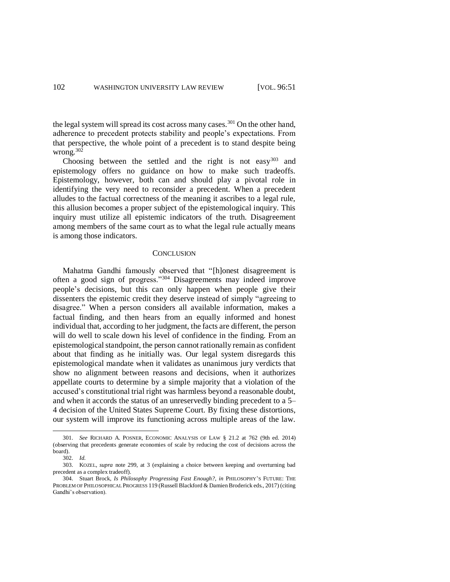the legal system will spread its cost across many cases.<sup>301</sup> On the other hand, adherence to precedent protects stability and people's expectations. From that perspective, the whole point of a precedent is to stand despite being wrong.<sup>302</sup>

Choosing between the settled and the right is not easy  $303$  and epistemology offers no guidance on how to make such tradeoffs. Epistemology, however, both can and should play a pivotal role in identifying the very need to reconsider a precedent. When a precedent alludes to the factual correctness of the meaning it ascribes to a legal rule, this allusion becomes a proper subject of the epistemological inquiry. This inquiry must utilize all epistemic indicators of the truth. Disagreement among members of the same court as to what the legal rule actually means is among those indicators.

#### <span id="page-51-0"></span>**CONCLUSION**

Mahatma Gandhi famously observed that "[h]onest disagreement is often a good sign of progress."<sup>304</sup> Disagreements may indeed improve people's decisions, but this can only happen when people give their dissenters the epistemic credit they deserve instead of simply "agreeing to disagree." When a person considers all available information, makes a factual finding, and then hears from an equally informed and honest individual that, according to her judgment, the facts are different, the person will do well to scale down his level of confidence in the finding. From an epistemological standpoint, the person cannot rationally remain as confident about that finding as he initially was. Our legal system disregards this epistemological mandate when it validates as unanimous jury verdicts that show no alignment between reasons and decisions, when it authorizes appellate courts to determine by a simple majority that a violation of the accused's constitutional trial right was harmless beyond a reasonable doubt, and when it accords the status of an unreservedly binding precedent to a 5– 4 decision of the United States Supreme Court. By fixing these distortions, our system will improve its functioning across multiple areas of the law.

<sup>301.</sup> *See* RICHARD A. POSNER, ECONOMIC ANALYSIS OF LAW § 21.2 at 762 (9th ed. 2014) (observing that precedents generate economies of scale by reducing the cost of decisions across the board).

<sup>302.</sup> *Id.*

<sup>303.</sup> KOZEL, *supra* note [299,](#page-50-1) at 3 (explaining a choice between keeping and overturning bad precedent as a complex tradeoff).

<sup>304.</sup> Stuart Brock, *Is Philosophy Progressing Fast Enough?*, *in* PHILOSOPHY'S FUTURE: THE PROBLEM OF PHILOSOPHICAL PROGRESS 119 (Russell Blackford & Damien Broderick eds., 2017) (citing Gandhi's observation).